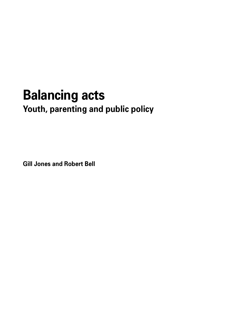# **Balancing acts Youth, parenting and public policy**

**Gill Jones and Robert Bell**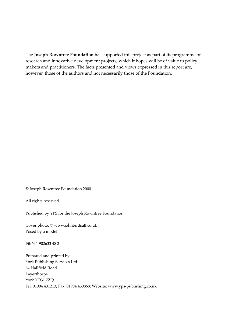The **Joseph Rowntree Foundation** has supported this project as part of its programme of research and innovative development projects, which it hopes will be of value to policy makers and practitioners. The facts presented and views expressed in this report are, however, those of the authors and not necessarily those of the Foundation.

© Joseph Rowntree Foundation 2000

All rights reserved.

Published by YPS for the Joseph Rowntree Foundation

Cover photo: © www.johnbirdsall.co.uk Posed by a model

ISBN 1 902633 48 2

Prepared and printed by: York Publishing Services Ltd 64 Hallfield Road Layerthorpe York YO31 7ZQ Tel: 01904 431213; Fax: 01904 430868; Website: www.yps-publishing.co.uk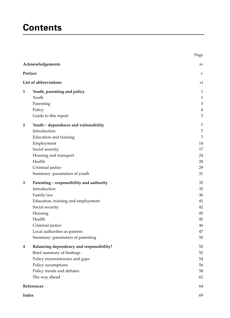## **Contents**

|                  |                                          | Page           |
|------------------|------------------------------------------|----------------|
|                  | Acknowledgements                         | iv             |
| Preface          |                                          | $\mathbf{V}$   |
|                  | List of abbreviations                    | vi             |
| 1                | Youth, parenting and policy              | $\mathbf{1}$   |
|                  | Youth                                    | $\mathbf{1}$   |
|                  | Parenting                                | 3              |
|                  | Policy                                   | $\overline{4}$ |
|                  | Guide to this report                     | 5              |
| $\overline{2}$   | Youth - dependence and vulnerability     | 7              |
|                  | Introduction                             | 7              |
|                  | Education and training                   | 7              |
|                  | Employment                               | 14             |
|                  | Social security                          | 17             |
|                  | Housing and transport                    | 24             |
|                  | Health                                   | 28             |
|                  | Criminal justice                         | 29             |
|                  | Summary: parameters of youth             | 31             |
| 3                | Parenting - responsibility and authority | 35             |
|                  | Introduction                             | 35             |
|                  | Family law                               | 36             |
|                  | Education, training and employment       | 41             |
|                  | Social security                          | 42             |
|                  | Housing                                  | 45             |
|                  | Health                                   | 45             |
|                  | Criminal justice                         | 46             |
|                  | Local authorities as parents             | 47             |
|                  | Summary: parameters of parenting         | 50             |
| $\boldsymbol{4}$ | Balancing dependency and responsibility? | 52             |
|                  | Brief summary of findings                | 52             |
|                  | Policy inconsistencies and gaps          | 54             |
|                  | Policy assumptions                       | 56             |
|                  | Policy trends and debates                | 58             |
|                  | The way ahead                            | 62             |
|                  | References                               | 64             |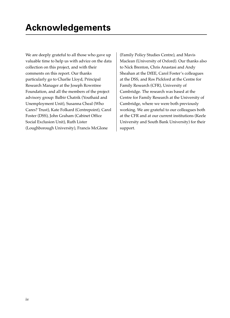We are deeply grateful to all those who gave up valuable time to help us with advice on the data collection on this project, and with their comments on this report. Our thanks particularly go to Charlie Lloyd, Principal Research Manager at the Joseph Rowntree Foundation, and all the members of the project advisory group: Balbir Chatrik (Youthaid and Unemployment Unit), Susanna Cheal (Who Cares? Trust), Kate Folkard (Centrepoint), Carol Foster (DSS), John Graham (Cabinet Office Social Exclusion Unit), Ruth Lister (Loughborough University), Francis McGlone

(Family Policy Studies Centre), and Mavis Maclean (University of Oxford). Our thanks also to Nick Brenton, Chris Anastasi and Andy Sheahan at the DfEE, Carol Foster's colleagues at the DSS, and Ros Pickford at the Centre for Family Research (CFR), University of Cambridge. The research was based at the Centre for Family Research at the University of Cambridge, where we were both previously working. We are grateful to our colleagues both at the CFR and at our current institutions (Keele University and South Bank University) for their support.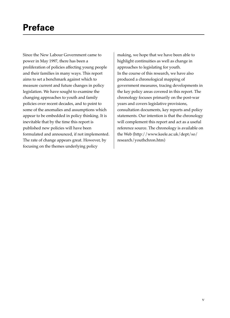Since the New Labour Government came to power in May 1997, there has been a proliferation of policies affecting young people and their families in many ways. This report aims to set a benchmark against which to measure current and future changes in policy legislation. We have sought to examine the changing approaches to youth and family policies over recent decades, and to point to some of the anomalies and assumptions which appear to be embedded in policy thinking. It is inevitable that by the time this report is published new policies will have been formulated and announced, if not implemented. The rate of change appears great. However, by focusing on the themes underlying policy

making, we hope that we have been able to highlight continuities as well as change in approaches to legislating for youth. In the course of this research, we have also produced a chronological mapping of government measures, tracing developments in the key policy areas covered in this report. The chronology focuses primarily on the post-war years and covers legislative provisions, consultation documents, key reports and policy statements. Our intention is that the chronology will complement this report and act as a useful reference source. The chronology is available on the Web (http://www.keele.ac.uk/dept/so/ research/youthchron.htm)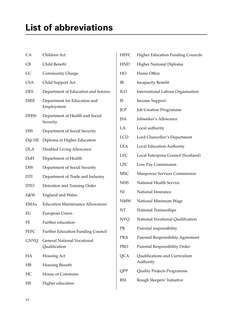| CA          | Children Act                                        |
|-------------|-----------------------------------------------------|
| CВ          | Child Benefit                                       |
| CC          | <b>Community Charge</b>                             |
| <b>CSA</b>  | Child Support Act                                   |
| DES         | Department of Education and Science                 |
| <b>DfEE</b> | Department for Education and<br>Employment          |
| <b>DHSS</b> | Department of Health and Social<br>Security         |
| <b>DSS</b>  | Department of Social Security                       |
| Dip HE      | Diploma in Higher Education                         |
| <b>DLA</b>  | Disabled Living Allowance                           |
| DoH         | Department of Health                                |
| <b>DSS</b>  | Department of Social Security                       |
| DTI         | Department of Trade and Industry                    |
| <b>DTO</b>  | Detention and Training Order                        |
| E&W         | <b>England and Wales</b>                            |
| <b>EMAs</b> | <b>Education Maintenance Allowances</b>             |
| EU          | European Union                                      |
| FE          | Further education                                   |
| FEFC        | Further Education Funding Council                   |
| <b>GNVQ</b> | <b>General National Vocational</b><br>Qualification |
| HА          | Housing Act                                         |
| HВ          | <b>Housing Benefit</b>                              |
| HC          | <b>House of Commons</b>                             |
| ΗE          | Higher education                                    |

| <b>HEFC</b> | <b>Higher Education Funding Councils</b>   |
|-------------|--------------------------------------------|
| <b>HND</b>  | Higher National Diploma                    |
| HO          | Home Office                                |
| IB          | <b>Incapacity Benefit</b>                  |
| ILO         | International Labour Organisation          |
| IS          | <b>Income Support</b>                      |
| <b>JCP</b>  | <b>Job Creation Programme</b>              |
| JSA         | Jobseeker's Allowance                      |
| LA          | Local authority                            |
| <b>LCD</b>  | Lord Chancellor's Department               |
| <b>LEA</b>  | Local Education Authority                  |
| <b>LEC</b>  | Local Enterprise Council (Scotland)        |
| <b>LPC</b>  | Low Pay Commission                         |
| <b>MSC</b>  | <b>Manpower Services Commission</b>        |
| <b>NHS</b>  | National Health Service                    |
| NI          | National Insurance                         |
| <b>NMW</b>  | National Minimum Wage                      |
| NT          | National Traineeships                      |
| <b>NVQ</b>  | National Vocational Qualification          |
| PR          | Parental responsibility                    |
| <b>PRA</b>  | Parental Responsibility Agreement          |
| PRO         | Parental Responsibility Order              |
| <b>QCA</b>  | Qualifications and Curriculum<br>Authority |
| QPP         | Quality Projects Programme                 |
| <b>RSI</b>  | Rough Sleepers' Initiative                 |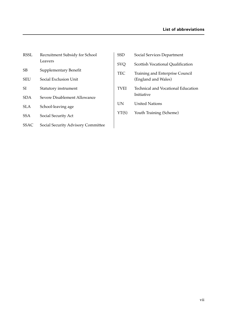| RSSL        | Recruitment Subsidy for School<br>Leavers |
|-------------|-------------------------------------------|
| SВ          | Supplementary Benefit                     |
| <b>SEU</b>  | Social Exclusion Unit                     |
| SІ          | Statutory instrument                      |
| <b>SDA</b>  | Severe Disablement Allowance              |
| <b>SLA</b>  | School-leaving age                        |
| SS A        | Social Security Act                       |
| <b>SSAC</b> | Social Security Advisory Committee        |

- SSD Social Services Department SVQ Scottish Vocational Qualification TEC Training and Enterprise Council (England and Wales) TVEI Technical and Vocational Education Initiative UN United Nations
- YT(S) Youth Training (Scheme)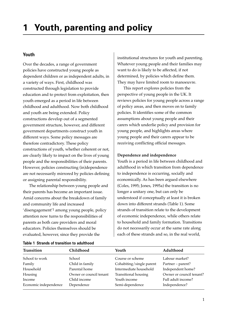## **1 Youth, parenting and policy**

## **Youth**

Over the decades, a range of government policies have constructed young people as dependent children or as independent adults, in a variety of ways. First, childhood was constructed through legislation to provide education and to protect from exploitation, then youth emerged as a period in life between childhood and adulthood. Now both childhood and youth are being extended. Policy constructions develop out of a segmented government structure, however, and different government departments construct youth in different ways. Some policy messages are therefore contradictory. These policy constructions of youth, whether coherent or not, are clearly likely to impact on the lives of young people and the responsibilities of their parents. However, policies constructing (in)dependence are not necessarily mirrored by policies defining or assigning parental responsibility.

The relationship between young people and their parents has become an important issue. Amid concerns about the breakdown of family and community life and increased 'disengagement'1 among young people, policy attention now turns to the responsibilities of parents as both care providers and moral educators. Policies themselves should be evaluated, however, since they provide the

institutional structures for youth and parenting. Whatever young people and their families may want to do is likely to be affected, if not determined, by policies which define them. They may have limited room to manoeuvre.

This report explores policies from the perspective of young people in the UK. It reviews policies for young people across a range of policy areas, and then moves on to family policies. It identifies some of the common assumptions about young people and their carers which underlie policy and provision for young people, and highlights areas where young people and their carers appear to be receiving conflicting official messages.

## **Dependence and independence**

Youth is a period in life between childhood and adulthood in which transition from dependence to independence is occurring, socially and economically. As has been argued elsewhere (Coles, 1995; Jones, 1995a) the transition is no longer a unitary one, but can only be understood if conceptually at least it is broken down into different strands (Table 1). Some strands of transition relate to the development of economic independence, while others relate to household and family formation. Transitions do not necessarily occur at the same rate along each of these strands and so, in the real world,

| Childhood<br>Adulthood<br>Youth<br>Course or scheme<br>School<br>Labour market?<br>Cohabiting/single parent<br>Child in family<br>Partner - parent?<br>Family<br>Intermediate household<br>Independent home?<br>Parental home<br>Owner or council tenant?<br>Transitional housing<br>Owner or council tenant<br>Housing<br>Youth income<br>Child income<br>Full adult income?<br>Income<br>Economic independence<br>Dependence<br>Semi-dependence<br>Independence? |                |  |  |
|--------------------------------------------------------------------------------------------------------------------------------------------------------------------------------------------------------------------------------------------------------------------------------------------------------------------------------------------------------------------------------------------------------------------------------------------------------------------|----------------|--|--|
|                                                                                                                                                                                                                                                                                                                                                                                                                                                                    | Transition     |  |  |
|                                                                                                                                                                                                                                                                                                                                                                                                                                                                    | School to work |  |  |
|                                                                                                                                                                                                                                                                                                                                                                                                                                                                    |                |  |  |
|                                                                                                                                                                                                                                                                                                                                                                                                                                                                    | Household      |  |  |
|                                                                                                                                                                                                                                                                                                                                                                                                                                                                    |                |  |  |
|                                                                                                                                                                                                                                                                                                                                                                                                                                                                    |                |  |  |
|                                                                                                                                                                                                                                                                                                                                                                                                                                                                    |                |  |  |

#### **Table 1 Strands of transition to adulthood**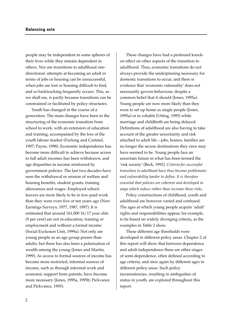people may be independent in some spheres of their lives while they remain dependent in others. Nor are transitions to adulthood onedirectional: attempts at becoming an adult in terms of jobs or housing can be unsuccessful, when jobs are lost or housing difficult to find, and so backtracking frequently occurs. This, as we shall see, is partly because transitions can be constrained or facilitated by policy structures.

Youth has changed in the course of a generation. The main changes have been in the structuring of the economic transition from school to work, with an extension of education and training, accompanied by the loss of the youth labour market (Furlong and Cartmel, 1997; Payne, 1998). Economic independence has become more difficult to achieve because access to full adult incomes has been withdrawn, and age disparities in income reinforced by government policies. The last two decades have seen the withdrawal or erosion of welfare and housing benefits, student grants, training allowances and wages. Employed schoolleavers are more likely to be in low-paid work than they were even five or ten years ago (New Earnings Surveys, 1977, 1987, 1997). It is estimated that around 161,000 16/17 year olds (9 per cent) are not in education, training or employment and without a formal income (Social Exclusion Unit, 1999a). Not only are young people as an age group poorer than adults, but there has also been a polarisation of wealth among the young (Jones and Martin, 1999). As access to formal sources of income has become more restricted, informal sources of income, such as through informal work and economic support from parents, have become more necessary (Jones, 1995a, 1995b; Pickvance and Pickvance, 1995).

These changes have had a profound knockon effect on other aspects of the transition to adulthood. Thus, economic transitions do not always provide the underpinning necessary for domestic transitions to occur, and there is evidence that 'economic rationality' does not necessarily govern behaviour, despite a common belief that it should (Jones, 1995a). Young people are now more likely than they were to set up home as single people (Jones, 1995a) or to cohabit (Utting, 1995) while marriage and childbirth are being delayed. Definitions of adulthood are also having to take account of the greater uncertainty and risk attached to adult life – jobs, homes, families are no longer the secure destinations they once may have seemed to be. Young people face an uncertain future in what has been termed the 'risk society' (Beck, 1992). *Criteria for successful transition to adulthood have thus become problematic and vulnerability harder to define. It is therefore essential that policies are coherent and developed in ways which reduce rather than increase these risks*.

Policy constructions of childhood, youth and adulthood are however varied and confused. The ages at which young people acquire 'adult' rights and responsibilities appear, for example, to be based on widely diverging criteria, as the examples in Table 2 show.

These different age thresholds were developed in different policy areas. Chapter 2 of this report will show that between dependence and adult independence there are other stages of semi-dependence, often defined according to age criteria, and once again by different ages in different policy areas. Such policy inconsistencies, resulting in ambiguities of status in youth, are explored throughout this report.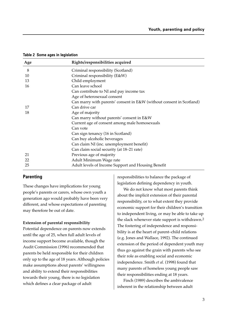| Age | Rights/responsibilities acquired                                     |
|-----|----------------------------------------------------------------------|
| 8   | Criminal responsibility (Scotland)                                   |
| 10  | Criminal responsibility (E&W)                                        |
| 13  | Child employment                                                     |
| 16  | Can leave school                                                     |
|     | Can contribute to NI and pay income tax                              |
|     | Age of heterosexual consent                                          |
|     | Can marry with parents' consent in E&W (without consent in Scotland) |
| 17  | Can drive car                                                        |
| 18  | Age of majority                                                      |
|     | Can marry without parents' consent in E&W                            |
|     | Current age of consent among male homosexuals                        |
|     | Can vote                                                             |
|     | Can sign tenancy (16 in Scotland)                                    |
|     | Can buy alcoholic beverages                                          |
|     | Can claim NI (inc. unemployment benefit)                             |
|     | Can claim social security (at 18-21 rate)                            |
| 21  | Previous age of majority                                             |
| 22  | Adult Minimum Wage rate                                              |
| 25  | Adult levels of Income Support and Housing Benefit                   |

**Table 2 Some ages in legislation**

## **Parenting**

These changes have implications for young people's parents or carers, whose own youth a generation ago would probably have been very different, and whose expectations of parenting may therefore be out of date.

## **Extension of parental responsibility**

Potential dependence on parents now extends until the age of 25, when full adult levels of income support become available, though the Audit Commission (1996) recommended that parents be held responsible for their children only up to the age of 18 years. Although policies make assumptions about parents' willingness and ability to extend their responsibilities towards their young, there is no legislation which defines a clear package of adult

responsibilities to balance the package of legislation defining dependency in youth.

We do not know what most parents think about the implicit extension of their parental responsibility, or to what extent they provide economic support for their children's transition to independent living, or may be able to take up the slack whenever state support is withdrawn.2 The fostering of independence and responsibility is at the heart of parent–child relations (e.g. Jones and Wallace, 1992). The continued extension of the period of dependent youth may thus go against the grain with parents who see their role as enabling social and economic independence. Smith *et al*. (1998) found that many parents of homeless young people saw their responsibilities ending at 18 years.

Finch (1989) describes the ambivalence inherent in the relationship between adult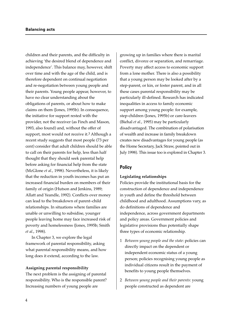children and their parents, and the difficulty in achieving 'the desired blend of dependence and independence'. This balance may, however, shift over time and with the age of the child, and is therefore dependent on continual negotiation and re-negotiation between young people and their parents. Young people appear, however, to have no clear understanding about the obligations of parents, or about how to make claims on them (Jones, 1995b). In consequence, the initiative for support rested with the provider, not the receiver (as Finch and Mason, 1993, also found) and, without the offer of support, most would not receive it.3 Although a recent study suggests that most people (73 per cent) consider that adult children should be able to call on their parents for help, less than half thought that they should seek parental help before asking for financial help from the state (McGlone *et al*., 1998). Nevertheless, it is likely that the reduction in youth incomes has put an increased financial burden on members of their family of origin (Hutson and Jenkins, 1989; Allatt and Yeandle, 1992). Conflicts over money can lead to the breakdown of parent–child relationships. In situations where families are unable or unwilling to subsidise, younger people leaving home may face increased risk of poverty and homelessness (Jones, 1995b; Smith *et al*., 1998).

In Chapter 3, we explore the legal framework of parental responsibility, asking what parental responsibility means, and how long does it extend, according to the law.

#### **Assigning parental responsibility**

The next problem is the assigning of parental responsibility. Who is the responsible parent? Increasing numbers of young people are

growing up in families where there is marital conflict, divorce or separation, and remarriage. Poverty may affect access to economic support from a lone mother. There is also a possibility that a young person may be looked after by a step-parent, or kin, or foster parent, and in all these cases parental responsibility may be particularly ill-defined. Research has indicated inequalities in access to family economic support among young people: for example, step-children (Jones, 1995b) or care-leavers (Biehal *et al*., 1995) may be particularly disadvantaged. The combination of polarisation of wealth and increase in family breakdown creates new disadvantages for young people (as the Home Secretary, Jack Straw, pointed out in July 1998). This issue too is explored in Chapter 3.

## **Policy**

#### **Legislating relationships**

Policies provide the institutional basis for the construction of dependence and independence in youth and define the threshold between childhood and adulthood. Assumptions vary, as do definitions of dependence and independence, across government departments and policy areas. Government policies and legislative provisions thus potentially shape three types of economic relationship.

- 1 *Between young people and the state*: policies can directly impact on the dependent or independent economic status of a young person; policies recognising young people as individual citizens result in the payment of benefits to young people themselves.
- 2 *Between young people and their parents*: young people constructed as dependent are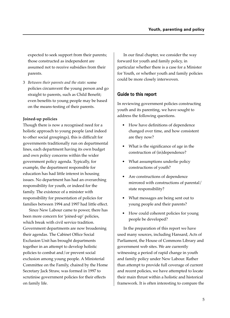expected to seek support from their parents; those constructed as independent are assumed not to receive subsidies from their parents.

3 *Between their parents and the state*: some policies circumvent the young person and go straight to parents, such as Child Benefit; even benefits to young people may be based on the means-testing of their parents.

## **Joined-up policies**

Though there is now a recognised need for a holistic approach to young people (and indeed to other social groupings), this is difficult for governments traditionally run on departmental lines, each department having its own budget and own policy concerns within the wider government policy agenda. Typically, for example, the department responsible for education has had little interest in housing issues. No department has had an overarching responsibility for youth, or indeed for the family. The existence of a minister with responsibility for presentation of policies for families between 1994 and 1997 had little effect.

Since New Labour came to power, there has been more concern for 'joined-up' policies, which break with civil service tradition. Government departments are now broadening their agendas. The Cabinet Office Social Exclusion Unit has brought departments together in an attempt to develop holistic policies to combat and/or prevent social exclusion among young people. A Ministerial Committee on the Family, chaired by the Home Secretary Jack Straw, was formed in 1997 to scrutinise government policies for their effects on family life.

In our final chapter, we consider the way forward for youth and family policy, in particular whether there is a case for a Minister for Youth, or whether youth and family policies could be more closely interwoven.

## **Guide to this report**

In reviewing government policies constructing youth and its parenting, we have sought to address the following questions.

- How have definitions of dependence changed over time, and how consistent are they now?
- What is the significance of age in the construction of (in)dependence?
- What assumptions underlie policy constructions of youth?
- Are constructions of dependence mirrored with constructions of parental/ state responsibility?
- What messages are being sent out to young people and their parents?
- How could coherent policies for young people be developed?

In the preparation of this report we have used many sources, including Hansard, Acts of Parliament, the House of Commons Library and government web sites. We are currently witnessing a period of rapid change in youth and family policy under New Labour. Rather than attempt to provide full coverage of current and recent policies, we have attempted to locate their main thrust within a holistic and historical framework. It is often interesting to compare the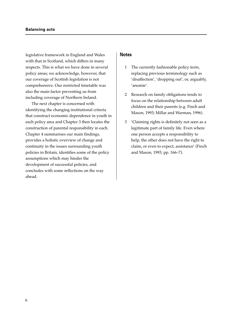legislative framework in England and Wales with that in Scotland, which differs in many respects. This is what we have done in several policy areas; we acknowledge, however, that our coverage of Scottish legislation is not comprehensive. Our restricted timetable was also the main factor preventing us from including coverage of Northern Ireland.

The next chapter is concerned with identifying the changing institutional criteria that construct economic dependence in youth in each policy area and Chapter 3 then locates the construction of parental responsibility in each. Chapter 4 summarises our main findings, provides a holistic overview of change and continuity in the issues surrounding youth policies in Britain, identifies some of the policy assumptions which may hinder the development of successful policies, and concludes with some reflections on the way ahead.

## **Notes**

- 1 The currently fashionable policy term, replacing previous terminology such as 'disaffection', 'dropping out', or, arguably, 'anomie'.
- 2 Research on family obligations tends to focus on the relationship between adult children and their parents (e.g. Finch and Mason, 1993; Millar and Warman, 1996).
- 3 'Claiming rights is definitely not seen as a legitimate part of family life. Even where one person accepts a responsibility to help, the other does not have the right to claim, or even to expect, assistance' (Finch and Mason, 1993, pp. 166–7).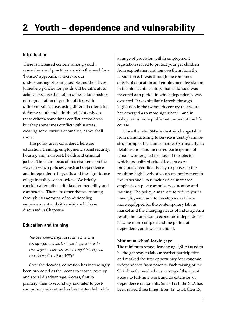## **Introduction**

There is increased concern among youth researchers and practitioners with the need for a 'holistic' approach, to increase our understanding of young people and their lives. Joined-up policies for youth will be difficult to achieve because the notion defies a long history of fragmentation of youth policies, with different policy areas using different criteria for defining youth and adulthood. Not only do these criteria sometimes conflict across areas, but they sometimes conflict within areas, creating some curious anomalies, as we shall show.

The policy areas considered here are education, training, employment, social security, housing and transport, health and criminal justice. The main focus of this chapter is on the ways in which policies construct dependence and independence in youth, and the significance of age in policy constructions. We briefly consider alternative criteria of vulnerability and competence. There are other themes running through this account, of conditionality, empowerment and citizenship, which are discussed in Chapter 4.

## **Education and training**

The best defence against social exclusion is having a job, and the best way to get a job is to have a good education, with the right training and experience. (Tony Blair, 1999)<sup>1</sup>

Over the decades, education has increasingly been promoted as the means to escape poverty and social disadvantage. Access, first to primary, then to secondary, and later to postcompulsory education has been extended, while a range of provision within employment legislation served to protect younger children from exploitation and remove them from the labour force. It was through the combined effects of education and employment legislation in the nineteenth century that childhood was invented as a period in which dependency was expected. It was similarly largely through legislation in the twentieth century that youth has emerged as a more significant – and in policy terms more problematic – part of the life course.

Since the late 1960s, industrial change (shift from manufacturing to service industry) and restructuring of the labour market (particularly its flexibilisation and increased participation of female workers) led to a loss of the jobs for which unqualified school-leavers were previously recruited. Policy responses to the resulting high levels of youth unemployment in the 1970s and 1980s included an increased emphasis on post-compulsory education and training. The policy aims were to reduce youth unemployment and to develop a workforce more equipped for the contemporary labour market and the changing needs of industry. As a result, the transition to economic independence became more complex and the period of dependent youth was extended.

## **Minimum school-leaving age**

The minimum school-leaving age (SLA) used to be the gateway to labour market participation and marked the first opportunity for economic independence from parents. Each raising of the SLA directly resulted in a raising of the age of access to full-time work and an extension of dependence on parents. Since 1921, the SLA has been raised three times: from 12, to 14, then 15,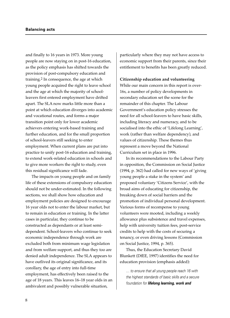and finally to 16 years in 1973. More young people are now staying on in post-16 education, as the policy emphasis has shifted towards the provision of post-compulsory education and training.2 In consequence, the age at which young people acquired the right to leave school and the age at which the majority of schoolleavers first entered employment have drifted apart. The SLA now marks little more than a point at which education diverges into academic and vocational routes, and forms a major transition point only for lower academic achievers entering work-based training and further education, and for the small proportion of school-leavers still seeking to enter employment. When current plans are put into practice to unify post-16 education and training, to extend work-related education in schools and to give more workers the right to study, even this residual significance will fade.

The impacts on young people and on family life of these extensions of compulsory education should not be under-estimated. In the following sections, we shall show how education and employment policies are designed to encourage 16 year olds not to enter the labour market, but to remain in education or training. In the latter cases in particular, they continue to be constructed as dependants or at least semidependent. School-leavers who continue to seek economic independence through work are excluded both from minimum wage legislation and from welfare support, and thus they too are denied adult independence. The SLA appears to have outlived its original significance, and its corollary, the age of entry into full-time employment, has effectively been raised to the age of 18 years. This leaves 16–18 year olds in an ambivalent and possibly vulnerable situation,

particularly where they may not have access to economic support from their parents, since their entitlement to benefits has been greatly reduced.

**Citizenship education and volunteering**

While our main concern in this report is over-16s, a number of policy developments in secondary education set the scene for the remainder of this chapter. The Labour Government's education policy stresses the need for all school-leavers to have basic skills, including literacy and numeracy, and to be socialised into the ethic of 'Lifelong Learning', work (rather than welfare dependency), and values of citizenship. These themes thus represent a move beyond the National Curriculum set in place in 1996.

In its recommendations to the Labour Party in opposition, the Commission on Social Justice (1994, p. 362) had called for new ways of 'giving young people a stake in the system' and proposed voluntary 'Citizens Service', with the broad aims of educating for citizenship, the breaking down of social barriers and the promotion of individual personal development. Various forms of recompense to young volunteers were mooted, including a weekly allowance plus subsistence and travel expenses, help with university tuition fees, post-service credits to help with the costs of securing a tenancy, or even driving lessons (Commission on Social Justice, 1994, p. 365).

Thus, the Education Secretary David Blunkett (DfEE, 1997) identifies the need for education provision (emphasis added):

… to ensure that all young people reach 16 with the highest standards of basic skills and a secure foundation for **lifelong learning, work and**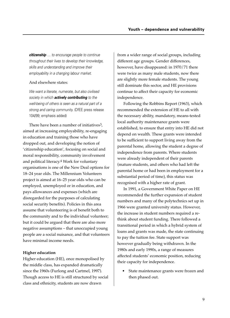**citizenship** … to encourage people to continue throughout their lives to develop their knowledge, skills and understanding and improve their employability in a changing labour market.

## And elsewhere states:

We want a literate, numerate, but also civilised society in which **actively contributing** to the well-being of others is seen as a natural part of a strong and caring community. (DfEE press release 104/99; emphasis added)

There have been a number of initiatives<sup>3</sup>, aimed at increasing employability, re-engaging in education and training those who have dropped out, and developing the notion of 'citizenship education', focusing on social and moral responsibility, community involvement and political literacy.4 Work for voluntary organisations is one of the New Deal options for 18–24 year olds. The Millennium Volunteers project is aimed at 16–25 year olds who can be employed, unemployed or in education, and pays allowances and expenses (which are disregarded for the purposes of calculating social security benefits). Policies in this area assume that volunteering is of benefit both to the community and to the individual volunteer; but it could be argued that there are also more negative assumptions – that unoccupied young people are a social nuisance, and that volunteers have minimal income needs.

#### **Higher education**

Higher education (HE), once monopolised by the middle class, has expanded dramatically since the 1960s (Furlong and Cartmel, 1997). Though access to HE is still structured by social class and ethnicity, students are now drawn

from a wider range of social groups, including different age groups. Gender differences, however, have disappeared: in 1970/71 there were twice as many male students, now there are slightly more female students. The young still dominate this sector, and HE provisions continue to affect their capacity for economic independence.

Following the Robbins Report (1963), which recommended the extension of HE to all with the necessary ability, mandatory, means-tested local authority maintenance grants were established, to ensure that entry into HE did not depend on wealth. These grants were intended to be sufficient to support living away from the parental home, allowing the student a degree of independence from parents. Where students were already independent of their parents (mature students, and others who had left the parental home or had been in employment for a substantial period of time), this status was recognised with a higher rate of grant.

In 1991, a Government White Paper on HE recommended the further expansion of student numbers and many of the polytechnics set up in 1966 were granted university status. However, the increase in student numbers required a rethink about student funding. There followed a transitional period in which a hybrid system of loans and grants was made, the state continuing to pay the tuition fee. State support was however gradually being withdrawn. In the 1980s and early 1990s, a range of measures affected students' economic position, reducing their capacity for independence.

State maintenance grants were frozen and then phased out.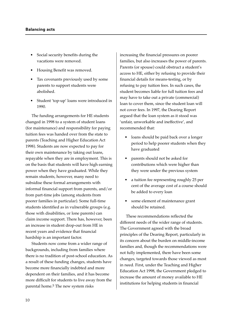#### **Balancing acts**

- Social security benefits during the vacations were removed.
- Housing Benefit was removed.
- Tax covenants previously used by some parents to support students were abolished.
- Student 'top-up' loans were introduced in 1990.

The funding arrangements for HE students changed in 1998 to a system of student loans (for maintenance) and responsibility for paying tuition fees was handed over from the state to parents (Teaching and Higher Education Act 1998). Students are now expected to pay for their own maintenance by taking out loans, repayable when they are in employment. This is on the basis that students will have high earning power when they have graduated. While they remain students, however, many need to subsidise these formal arrangements with informal financial support from parents, and/or from part-time jobs (among students from poorer families in particular). Some full-time students identified as in vulnerable groups (e.g. those with disabilities, or lone parents) can claim income support. There has, however, been an increase in student drop-out from HE in recent years and evidence that financial hardship is an important factor.

Students now come from a wider range of backgrounds, including from families where there is no tradition of post-school education. As a result of these funding changes, students have become more financially indebted and more dependent on their families, and it has become more difficult for students to live away from the parental home.5 The new system risks

increasing the financial pressures on poorer families, but also increases the power of parents. Parents (or spouse) could obstruct a student's access to HE, either by refusing to provide their financial details for means-testing, or by refusing to pay tuition fees. In such cases, the student becomes liable for full tuition fees and may have to take out a private (commercial) loan to cover them, since the student loan will not cover fees. In 1997, the Dearing Report argued that the loan system as it stood was 'unfair, unworkable and ineffective', and recommended that:

- loans should be paid back over a longer period to help poorer students when they have graduated
- parents should not be asked for contributions which were higher than they were under the previous system
- a tuition fee representing roughly 25 per cent of the average cost of a course should be added to every loan
- some element of maintenance grant should be retained.

These recommendations reflected the different needs of the wider range of students. The Government agreed with the broad principles of the Dearing Report, particularly in its concern about the burden on middle-income families and, though the recommendations were not fully implemented, there have been some changes, targeted towards those viewed as most in need. First, under the Teaching and Higher Education Act 1998, the Government pledged to increase the amount of money available to HE institutions for helping students in financial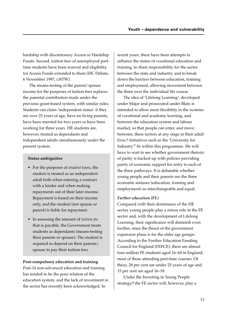hardship with discretionary Access or Hardship Funds. Second, tuition fees of unemployed parttime students have been waived and eligibility for Access Funds extended to them (HC Debate, 6 November 1997, c307W).

The means-testing of the parent/spouse income for the purposes of tuition fees replaces the parental contribution made under the previous grant-based system, with similar rules. Students can claim 'independent status' if they are over 25 years of age, have no living parents, have been married for two years or have been working for three years. HE students are, however, treated as dependants and independent adults simultaneously under the present system.

#### **Status ambiguities**

- For the purposes of *student loans*, the student is treated as an independent adult both when entering a contract with a lender and when making repayments out of their later income. Repayment is based on their income only, and the student (not spouse or parent) is liable for repayment.
- In assessing the amount of *tuition fee* that is payable, the Government treats students as dependants (means-testing their parents or spouse). The student is required to depend on their parents/ spouse to pay their tuition fees.

## **Post-compulsory education and training**

Post-16 non-advanced education and training has tended to be the poor relation of the education system, and the lack of investment in the sector has recently been acknowledged. In

recent years, there have been attempts to enhance the status of vocational education and training, to share responsibility for the sector between the state and industry, and to break down the barriers between education, training and employment, allowing movement between the three over the individual life course.

The idea of 'Lifelong Learning', developed under Major and prosecuted under Blair, is intended to allow more flexibility in the systems of vocational and academic learning, and between the education system and labour market, so that people can enter, and move between, these sectors at any stage in their adult lives.6 Initiatives such as the 'University for Industry'7 fit within this programme. We will have to wait to see whether government rhetoric of parity is backed up with policies providing parity of economic support for entry to each of the three pathways. It is debatable whether young people and their parents see the three economic statuses (education, training and employment) as interchangeable and equal.

## *Further education (FE)*

Compared with their dominance of the HE sector, young people play a minor role in the FE sector and, with the development of Lifelong Learning, their significance will diminish even further, since the thrust of the government expansion plans is for the older age groups. According to the Further Education Funding Council for England (FEFCE), there are almost four million FE students aged 16–60 in England, most of these attending part-time courses. Of these, 28 per cent are under 25 years of age and 15 per cent are aged 16–18.

Under the Investing in Young People strategy,8 the FE sector will, however, play a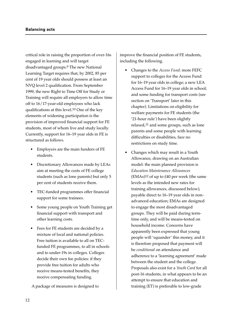critical role in raising the proportion of over-16s engaged in learning and will target disadvantaged groups.9 The new National Learning Target requires that, by 2002, 85 per cent of 19 year olds should possess at least an NVQ level 2 qualification. From September 1999, the new Right to Time Off for Study or Training will require all employers to allow time off to 16/17-year-old employees who lack qualifications at this level.10 One of the key elements of widening participation is the provision of improved financial support for FE students, most of whom live and study locally. Currently, support for 16–19 year olds in FE is structured as follows.

- Employers are the main funders of FE students.
- Discretionary Allowances made by LEAs aim at meeting the costs of FE college students (such as lone parents) but only 5 per cent of students receive them.
- TEC-funded programmes offer financial support for some trainees.
- Some young people on Youth Training get financial support with transport and other learning costs.
- Fees for FE students are decided by a mixture of local and national policies. Free tuition is available to all on TECfunded FE programmes, to all in schools and to under-19s in colleges. Colleges decide their own fee policies: if they provide free tuition for adults who receive means-tested benefits, they receive compensating funding.

A package of measures is designed to

improve the financial position of FE students, including the following.

- Changes to the *Access Fund*: more FEFC support to colleges for the Access Fund for 16–19 year olds in college; a new LEA Access Fund for 16–19 year olds in school; and some funding for transport costs (see section on 'Transport' later in this chapter). Limitations on eligibility for welfare payments for FE students (the '21-hour rule') have been slightly relaxed,11 and some groups, such as lone parents and some people with learning difficulties or disabilities, face no restrictions on study time.
- Changes which may result in a Youth Allowance, drawing on an Australian model: the main planned provision is *Education Maintenance Allowances* (EMAs)12 of up to £40 per week (the same levels as the intended new rates for training allowances, discussed below), payable direct to 16–19 year olds in nonadvanced education; EMAs are designed to engage the most disadvantaged groups. They will be paid during termtime only, and will be means-tested on household income. Concerns have apparently been expressed that young people will 'squander' this money, and it is therefore proposed that payment will be *conditional* on attendance and adherence to a 'learning agreement' made between the student and the college. Proposals also exist for a *Youth Card* for all post-16 students, in what appears to be an attempt to ensure that education and training (ET) is preferable to low-grade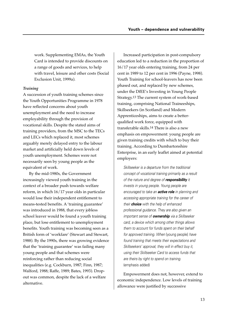work. Supplementing EMAs, the Youth Card is intended to provide discounts on a range of goods and services, to help with travel, leisure and other costs (Social Exclusion Unit, 1999a).

#### *Training*

A succession of youth training schemes since the Youth Opportunities Programme in 1978 have reflected concerns about youth unemployment and the need to increase employability through the provision of vocational skills. Despite the stated aims of training providers, from the MSC to the TECs and LECs which replaced it, most schemes arguably merely delayed entry to the labour market and artificially held down levels of youth unemployment. Schemes were not necessarily seen by young people as the equivalent of work.

By the mid-1980s, the Government increasingly viewed youth training in the context of a broader push towards welfare reform, in which 16/17 year olds in particular would lose their independent entitlement to means-tested benefits. A 'training guarantee' was introduced in 1988, that every jobless school leaver would be found a youth training place, but lose entitlement to unemployment benefits. Youth training was becoming seen as a British form of 'workfare' (Stewart and Stewart, 1988). By the 1990s, there was growing evidence that the 'training guarantee' was failing many young people and that schemes were reinforcing rather than reducing social inequalities (e.g. Cockburn, 1987; Finn, 1987; Walford, 1988; Raffe, 1989; Bates, 1993). Dropout was common, despite the lack of a welfare alternative.

Increased participation in post-compulsory education led to a reduction in the proportion of 16/17 year olds entering training, from 24 per cent in 1989 to 12 per cent in 1996 (Payne, 1998). Youth Training for school-leavers has now been phased out, and replaced by new schemes, under the DfEE's Investing in Young People Strategy.13 The current system of work-based training, comprising National Traineeships, Skillseekers (in Scotland) and Modern Apprenticeships, aims to create a betterqualified work force, equipped with transferable skills.14 There is also a new emphasis on empowerment: young people are given training credits with which to buy their training. According to Dumbartonshire Enterprise, in an early leaflet aimed at potential employers:

Skillseeker is a departure from the traditional concept of vocational training primarily as a result of the nature and degree of **responsibility** it invests in young people. Young people are encouraged to take an **active role** in planning and accessing appropriate training for the career of their **choice** with the help of enhanced professional guidance. They are also given an important sense of **ownership** via a Skillseeker card, a device which among other things allows them to account for funds spent on their behalf for approved training. When [young people] have found training that meets their expectations and Skillseekers' approval, they will in effect buy it, using their Skillseeker Card to access funds that are theirs by right to spend on training. (emphasis added)

Empowerment does not, however, extend to economic independence. Low levels of training allowance were justified by successive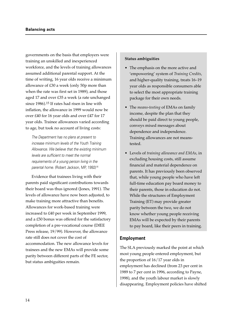governments on the basis that employers were training an unskilled and inexperienced workforce, and the levels of training allowances assumed additional parental support. At the time of writing, 16 year olds receive a minimum allowance of £30 a week (only 50p more than when the rate was first set in 1989), and those aged 17 and over £35 a week (a rate unchanged since 1986).15 If rates had risen in line with inflation, the allowance in 1999 would now be over £40 for 16 year olds and over £47 for 17 year olds. Trainee allowances varied according to age, but took no account of living costs:

The Department has no plans at present to increase minimum levels of the Youth Training Allowance. We believe that the existing minimum levels are sufficient to meet the normal requirements of a young person living in the parental home. (Robert Jackson, MP, 1992)<sup>16</sup>

Evidence that trainees living with their parents paid significant contributions towards their board was thus ignored (Jones, 1991). The levels of allowance have now been adjusted, to make training more attractive than benefits. Allowances for work-based training were increased to £40 per week in September 1999, and a £50 bonus was offered for the satisfactory completion of a pre-vocational course (DfEE Press release, 19/99). However, the allowance rate still does not cover the cost of accommodation. The new allowance levels for trainees and the new EMAs will provide some parity between different parts of the FE sector, but status ambiguities remain.

## **Status ambiguities**

- The emphasis on the more active and 'empowering' system of *Training Credits*, and higher-quality training, treats 16–19 year olds as responsible consumers able to select the most appropriate training package for their own needs.
- The *means-testing* of EMAs on family income, despite the plan that they should be paid direct to young people, conveys mixed messages about dependence and independence. Training allowances are not meanstested.
- Levels of *training allowance and EMAs*, in excluding housing costs, still assume financial and material dependence on parents. It has previously been observed that, while young people who have left full-time education pay board money to their parents, those in education do not. While the structures of Employment Training (ET) may provide greater parity between the two, we do not know whether young people receiving EMAs will be expected by their parents to pay board, like their peers in training.

## **Employment**

The SLA previously marked the point at which most young people entered employment, but the proportion of 16/17 year olds in employment has declined (from 23 per cent in 1989 to 7 per cent in 1996, according to Payne, 1998), and the youth labour market is slowly disappearing. Employment policies have shifted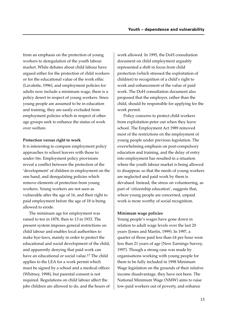from an emphasis on the protection of young workers to deregulation of the youth labour market. While debates about child labour have argued either for the protection of child workers or for the educational value of the work ethic (Lavalette, 1996), and employment policies for adults now include a minimum wage, there is a policy desert in respect of young workers. Since young people are assumed to be in education and training, they are easily excluded from employment policies which in respect of other age groups seek to enhance the status of work over welfare.

## **Protection versus right to work**

It is interesting to compare employment policy approaches to school leavers with those to under-16s. Employment policy provisions reveal a conflict between the protection of the 'development' of children in employment on the one hand, and deregulating policies which remove elements of protection from young workers. Young workers are not seen as vulnerable after the age of 16, and their right to paid employment before the age of 18 is being allowed to erode.

The minimum age for employment was raised to ten in 1878, then to 13 in 1933. The present system imposes general restrictions on child labour and enables local authorities to make bye-laws, mainly in order to protect the educational and social development of the child, and apparently denying that paid work can have an educational or social value.17 The child applies to the LEA for a work permit which must be signed by a school and a medical officer (Whitney, 1998), but parental consent is not required. Regulations on child labour affect the jobs children are allowed to do, and the hours of

work allowed. In 1995, the DoH consultation document on child employment arguably represented a shift in focus from child protection (which stressed the exploitation of children) to recognition of a child's right to work and enhancement of the value of paid work. The DoH consultation document also proposed that the employer, rather than the child, should be responsible for applying for the work permit.

Policy concerns to protect child workers from exploitation peter out when they leave school. The Employment Act 1989 removed most of the restrictions on the employment of young people under previous legislation. The overwhelming emphasis on post-compulsory education and training, and the delay of entry into employment has resulted in a situation where the youth labour market is being allowed to disappear, so that the needs of young workers are neglected and paid work by them is devalued. Instead, the stress on volunteering, as part of 'citizenship education', suggests that, where young people are concerned, unpaid work is more worthy of social recognition.

## **Minimum wage policies**

Young people's wages have gone down in relation to adult wage levels over the last 20 years (Jones and Martin, 1999). In 1997, a quarter of those paid less than £4 per hour were less than 21 years of age (New Earnings Survey, 1997). Though a strong case was made by organisations working with young people for them to be fully included in 1998 Minimum Wage legislation on the grounds of their relative income disadvantage, they have not been. The National Minimum Wage (NMW) aims to raise low-paid workers out of poverty, and enhance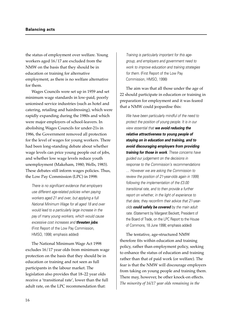the status of employment over welfare. Young workers aged 16/17 are excluded from the NMW on the basis that they should be in education or training for alternative employment, as there is no welfare alternative for them.

Wages Councils were set up in 1959 and set minimum wage standards in low-paid, poorly unionised service industries (such as hotel and catering, retailing and hairdressing), which were rapidly expanding during the 1980s and which were major employers of school-leavers. In abolishing Wages Councils for under-21s in 1986, the Government removed all protection for the level of wages for young workers. There had been long-standing debate about whether wage levels can price young people out of jobs, and whether low wage levels reduce youth unemployment (Makeham, 1980; Wells, 1983). These debates still inform wages policies. Thus, the Low Pay Commission (LPC) in 1998:

There is no significant evidence that employers use different age-related policies when paying workers aged 21 and over, but applying a full National Minimum Wage for all aged 18 and over would lead to a particularly large increase in the pay of many young workers, which would cause excessive cost increases and **threaten jobs**. (First Report of the Low Pay Commission, HMSO, 1998; emphasis added)

The National Minimum Wage Act 1998 excludes 16/17 year olds from minimum wage protection on the basis that they should be in education or training and not seen as full participants in the labour market. The legislation also provides that 18–22 year olds receive a 'transitional rate', lower than the full adult rate, on the LPC recommendation that:

Training is particularly important for this agegroup, and employers and government need to work to improve education and training strategies for them. (First Report of the Low Pay Commission, HMSO, 1998)

The aim was that all those under the age of 22 should participate in education or training in preparation for employment and it was feared that a NMW could jeopardise this:

We have been particularly mindful of the need to protect the position of young people. It is in our view essential that **we avoid reducing the relative attractiveness to young people of staying on in education and training, and to avoid discouraging employers from providing training for those in work**. These concerns have guided our judgement on the decisions in response to the Commission's recommendations … However we are asking the Commission to review the position of 21-year-olds again in 1999, following the implementation of the £3.00 transitional rate, and to then provide a further report on whether, in the light of experience to that date, they reconfirm their advice that 21-yearolds **could safely be covered** by the main adult rate. (Statement by Margaret Beckett, President of the Board of Trade, on the LPC Report to the House of Commons, 18 June 1998; emphasis added)

The tentative, age-structured NMW therefore fits within education and training policy, rather than employment policy, seeking to enhance the status of education and training rather than that of paid work (or welfare). The fear is that the NMW will discourage employers from taking on young people and training them. There may, however, be other knock-on effects. *The minority of 16/17 year olds remaining in the*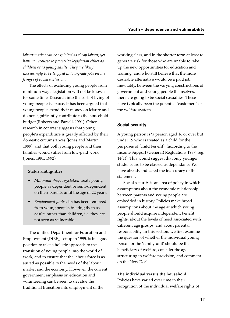*labour market can be exploited as cheap labour, yet have no recourse to protective legislation either as children or as young adults. They are likely increasingly to be trapped in low-grade jobs on the fringes of social exclusion*.

The effects of excluding young people from minimum wage legislation will not be known for some time. Research into the cost of living of young people is sparse. It has been argued that young people spend their money on leisure and do not significantly contribute to the household budget (Roberts and Parsell, 1991). Other research in contrast suggests that young people's expenditure is greatly affected by their domestic circumstances (Jones and Martin, 1999), and that both young people and their families would suffer from low-paid work (Jones, 1991, 1992).

#### **Status ambiguities**

- *Minimum Wage legislation* treats young people as dependent or semi-dependent on their parents until the age of 22 years.
- *Employment protection* has been removed from young people, treating them as adults rather than children, i.e. they are not seen as vulnerable.

The unified Department for Education and Employment (DfEE), set up in 1995, is in a good position to take a holistic approach to the transition of young people into the world of work, and to ensure that the labour force is as suited as possible to the needs of the labour market and the economy. However, the current government emphasis on education and volunteering can be seen to devalue the traditional transition into employment of the

working class, and in the shorter term at least to generate risk for those who are unable to take up the new opportunities for education and training, and who still believe that the more desirable alternative would be a paid job. Inevitably, between the varying constructions of government and young people themselves, there are going to be social casualties. These have typically been the potential 'customers' of the welfare system.

## **Social security**

A young person is 'a person aged 16 or over but under 19 who is treated as a child for the purposes of (child benefit)' (according to the Income Support (General) Regluations 1987, reg. 14(1)). This would suggest that only younger students are to be classed as dependants. We have already indicated the inaccuracy of this statement.

Social security is an area of policy in which assumptions about the economic relationship between parents and young people are embedded in history. Policies make broad assumptions about the age at which young people should acquire independent benefit rights, about the levels of need associated with different age groups, and about parental responsibility. In this section, we first examine the question of whether the individual young person or the 'family unit' should be the beneficiary of welfare, consider the age structuring in welfare provision, and comment on the New Deal.

**The individual versus the household** Policies have varied over time in their recognition of the individual welfare rights of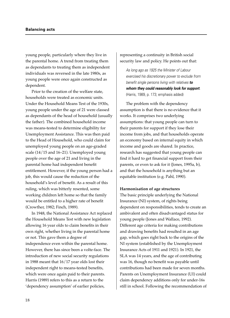young people, particularly where they live in the parental home. A trend from treating them as dependants to treating them as independent individuals was reversed in the late 1980s, as young people were once again constructed as dependent.

Prior to the creation of the welfare state, households were treated as economic units. Under the Household Means Test of the 1930s, young people under the age of 21 were classed as dependants of the head of household (usually the father). The combined household income was means-tested to determine eligibility for Unemployment Assistance. This was then paid to the Head of Household, who could claim for unemployed young people on an age-graded scale (14/15 and 16–21). Unemployed young people over the age of 21 and living in the parental home had independent benefit entitlement. However, if the young person had a job, this would cause the reduction of the household's level of benefit. As a result of this ruling, which was bitterly resented, some working children left home so that the family would be entitled to a higher rate of benefit (Crowther, 1982; Finch, 1989).

In 1948, the National Assistance Act replaced the Household Means Test with new legislation allowing 16 year olds to claim benefits in their own right, whether living in the parental home or not. This gave them a degree of independence even within the parental home. However, there has since been a volte-face. The introduction of new social security regulations in 1988 meant that 16/17 year olds lost their independent right to means-tested benefits, which were once again paid to their parents. Harris (1989) refers to this as a return to the 'dependency assumption' of earlier policies,

representing a continuity in British social security law and policy. He points out that:

As long ago as 1925 the Minister of Labour exercised his discretionary power to exclude from benefit single persons living with relatives **to whom they could reasonably look for support**. (Harris, 1989, p. 173; emphasis added)

The problem with the dependency assumption is that there is no evidence that it works. It comprises two underlying assumptions: that young people can turn to their parents for support if they lose their income from jobs, and that households operate an economy based on internal equity in which income and goods are shared. In practice, research has suggested that young people can find it hard to get financial support from their parents, or even to ask for it (Jones, 1995a, b), and that the household is anything but an equitable institution (e.g. Pahl, 1990).

#### **Harmonisation of age structures**

The basic principle underlying the National Insurance (NI) system, of rights being dependent on responsibilities, tends to create an ambivalent and often disadvantaged status for young people (Jones and Wallace, 1992). Different age criteria for making contributions and drawing benefits had resulted in an age gap, which goes right back to the origins of the NI system (established by the Unemployment Insurance Acts of 1911 and 1921). In 1921, the SLA was 14 years, and the age of contributing was 16, though no benefit was payable until contributions had been made for seven months. Parents on Unemployment Insurance (UI) could claim dependency additions only for under-16s still in school. Following the recommendation of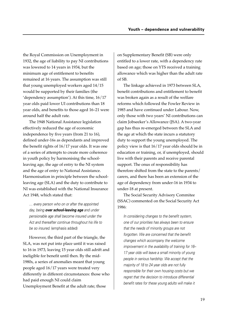the Royal Commission on Unemployment in 1932, the age of liability to pay NI contributions was lowered to 14 years in 1934, but the minimum age of entitlement to benefits remained at 16 years. The assumption was still that young unemployed workers aged 14/15 would be supported by their families (the 'dependency assumption'). At this time, 16/17 year olds paid lower UI contributions than 18 year olds, and benefits to those aged 16–21 were around half the adult rate.

The 1948 National Assistance legislation effectively reduced the age of economic independence by five years (from 21 to 16), defined under-16s as dependants and improved the benefit rights of 16/17 year olds. It was one of a series of attempts to create more coherence in youth policy by harmonising the schoolleaving age, the age of entry to the NI system and the age of entry to National Assistance. Harmonisation in principle between the schoolleaving age (SLA) and the duty to contribute to NI was established with the National Insurance Act 1948, which stated that:

… every person who on or after the appointed day, being **over school-leaving age** and under pensionable age shall become insured under the Act and thereafter continue throughout his life to be so insured. (emphasis added)

However, the third part of the triangle, the SLA, was not put into place until it was raised to 16 in 1973, leaving 15 year olds still adrift and ineligible for benefit until then. By the mid-1980s, a series of anomalies meant that young people aged 16/17 years were treated very differently in different circumstances: those who had paid enough NI could claim Unemployment Benefit at the adult rate; those

on Supplementary Benefit (SB) were only entitled to a lower rate, with a dependency rate based on age; those on YTS received a training allowance which was higher than the adult rate of SB.

The linkage achieved in 1973 between SLA, benefit contributions and entitlement to benefit was broken again as a result of the welfare reforms which followed the Fowler Review in 1985 and have continued under Labour. Now, only those with two years' NI contributions can claim Jobseeker's Allowance (JSA). A two-year gap has thus re-emerged between the SLA and the age at which the state incurs a statutory duty to support the young unemployed. The policy view is that 16/17 year olds should be in education or training, or, if unemployed, should live with their parents and receive parental support. The onus of responsibility has therefore shifted from the state to the parents/ carers, and there has been an extension of the age of dependency from under-16 in 1934 to under-18 at present.

The Social Security Advisory Commitee (SSAC) commented on the Social Security Act 1986:

In considering changes to the benefit system, one of our priorities has always been to ensure that the needs of minority groups are not forgotten. We are concerned that the benefit changes which accompany the welcome improvement in the availability of training for 16– 17 year olds will leave a small minority of young people in serious hardship. We accept that the majority of 18 to 24 year olds are not fully responsible for their own housing costs but we regret that the decision to introduce differential benefit rates for these young adults will make it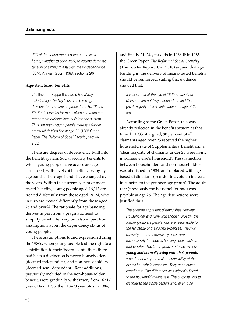difficult for young men and women to leave home, whether to seek work, to escape domestic tension or simply to establish their independence. (SSAC Annual Report, 1988, section 2.20)

#### **Age-structured benefits**

The [Income Support] scheme has always included age dividing lines. The basic age divisions for claimants at present are 16, 18 and 60. But in practice for many claimants there are rather more dividing lines built into the system. Thus, for many young people there is a further structural dividing line at age 21. (1985 Green Paper, The Reform of Social Security, section 2.33)

There are degrees of dependency built into the benefit system. Social security benefits to which young people have access are agestructured, with levels of benefits varying by age bands. These age bands have changed over the years. Within the current system of meanstested benefits, young people aged 16/17 are treated differently from those aged 18–24, who in turn are treated differently from those aged 25 and over.18 The rationale for age banding derives in part from a pragmatic need to simplify benefit delivery but also in part from assumptions about the dependency status of young people.

These assumptions found expression during the 1980s, when young people lost the right to a contribution to their 'board'. Until then, there had been a distinction between householders (deemed independent) and non-householders (deemed semi-dependent). Rent additions, previously included in the non-householder benefit, were gradually withdrawn, from 16/17 year olds in 1983, then 18–20 year olds in 1984,

and finally 21–24 year olds in 1986.19 In 1985, the Green Paper, *The Reform of Social Security* (The Fowler Report, Cm. 9518) argued that age banding in the delivery of means-tested benefits should be reinforced, stating that evidence showed that:

It is clear that at the age of 18 the majority of claimants are not fully independent, and that the great majority of claimants above the age of 25 are.

According to the Green Paper, this was already reflected in the benefits system at that time. In 1983, it argued, 90 per cent of all claimants aged over 25 received the higher household rate of Supplementary Benefit and a 'clear majority of claimants under 25 were living in someone else's household'. The distinction between householders and non-householders was abolished in 1984, and replaced with agebased distinctions (in order to avoid an increase in benefits to the younger age group). The adult rate (previously the householder rate) was payable at age 25. The age distinctions were justified thus:

The scheme at present distinguishes between Householder and Non-Householder. Broadly, the former group are people who are responsible for the full range of their living expenses. They will normally, but not necessarily, also have responsibility for specific housing costs such as rent or rates. The latter group are those, mainly **young and normally living with their parents**, who do not carry the main responsibility of the overall household expenses. They get a lower benefit rate. The difference was originally linked to the household means test. The purpose was to distinguish the single person who, even if he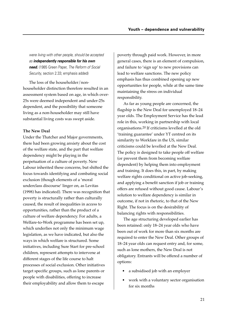were living with other people, should be accepted as **independently responsible for his own need.** (1985 Green Paper, The Reform of Social Security, section 2.33; emphasis added)

The loss of the householder/nonhouseholder distinction therefore resulted in an assessment system based on age, in which over-25s were deemed independent and under-25s dependent, and the possibility that someone living as a non-householder may still have substantial living costs was swept aside.

## **The New Deal**

Under the Thatcher and Major governments, there had been growing anxiety about the cost of the welfare state, and the part that welfare dependency might be playing in the perpetuation of a culture of poverty. New Labour inherited these concerns, but shifted the focus towards identifying and combating social exclusion (though elements of a 'moral underclass discourse' linger on, as Levitas (1998) has indicated). There was recognition that poverty is structurally rather than culturally caused, the result of inequalities in access to opportunities, rather than the product of a culture of welfare dependency. For adults, a Welfare-to-Work programme has been set up, which underlies not only the minimum wage legislation, as we have indicated, but also the ways in which welfare is structured. Some initiatives, including Sure Start for pre-school children, represent attempts to intervene at different stages of the life course to halt processes of social exclusion. Other initiatives target specific groups, such as lone parents or people with disabilities, offering to increase their employability and allow them to escape

poverty through paid work. However, in more general cases, there is an element of compulsion, and failure to 'sign up' to new provisions can lead to welfare sanctions. The new policy emphasis has thus combined opening up new opportunities for people, while at the same time maintaining the stress on individual responsibility.

As far as young people are concerned, the flagship is the New Deal for unemployed 18–24 year olds. The Employment Service has the lead role in this, working in partnership with local organisations.20 If criticisms levelled at the old 'training guarantee' under YT centred on its similarity to Workfare in the US, similar criticisms could be levelled at the New Deal. The policy is designed to take people off welfare (or prevent them from becoming welfare dependent) by helping them into employment and training. It does this, in part, by making welfare rights conditional on active job-seeking, and applying a benefit sanction if job or training offers are refused without good cause. Labour's solution to welfare dependency is similar in outcome, if not in rhetoric, to that of the New Right. The focus is on the desirability of balancing rights with responsibilities.

The age structuring developed earlier has been retained: only 18–24 year olds who have been out of work for more than six months are required to enter the New Deal. Other groups of 18–24 year olds can request entry and, for some, such as lone mothers, the New Deal is not obligatory. Entrants will be offered a number of options:

- a subsidised job with an employer
- work with a voluntary sector organisation for six months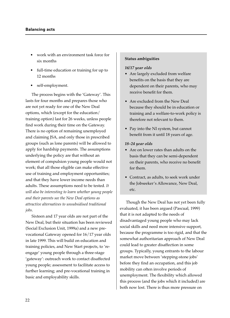- work with an environment task force for six months
- full-time education or training for up to 12 months
- self-employment.

The process begins with the 'Gateway'. This lasts for four months and prepares those who are not yet ready for one of the New Deal options, which (except for the education/ training option) last for 26 weeks, unless people find work during their time on the Gateway. There is no option of remaining unemployed and claiming JSA, and only those in prescribed groups (such as lone parents) will be allowed to apply for hardship payments. The assumptions underlying the policy are that without an element of compulsion young people would not work; that all those eligible can make effective use of training and employment opportunities; and that they have lower income needs than adults. These assumptions need to be tested. *It will also be interesting to learn whether young people and their parents see the New Deal options as attractive alternatives to unsubsidised traditional jobs*.

Sixteen and 17 year olds are not part of the New Deal, but their situation has been reviewed (Social Exclusion Unit, 1999a) and a new prevocational Gateway opened for 16/17 year olds in late 1999. This will build on education and training policies, and New Start projects, to 'reengage' young people through a three-stage 'gateway': outreach work to contact disaffected young people; assessment to facilitate access to further learning; and pre-vocational training in basic and employability skills.

#### **Status ambiguities**

## *16/17 year olds*

- Are largely excluded from welfare benefits on the basis that they are dependent on their parents, who may receive benefit for them.
- Are excluded from the New Deal because they should be in education or training and a welfare-to-work policy is therefore not relevant to them.
- Pay into the NI system, but cannot benefit from it until 18 years of age.

#### *18–24 year olds*

- Are on lower rates than adults on the basis that they can be semi-dependent on their parents, who receive no benefit for them.
- Contract, as adults, to seek work under the Jobseeker's Allowance, New Deal, etc.

Though the New Deal has not yet been fully evaluated, it has been argued (Pascual, 1999) that it is not adapted to the needs of disadvantaged young people who may lack social skills and need more intensive support, because the programme is too rigid, and that the somewhat authoritarian approach of New Deal could lead to greater disaffection in some groups. Typically, young entrants to the labour market move between 'stepping-stone jobs' before they find an occupation, and this job mobility can often involve periods of unemployment. The flexibility which allowed this process (and the jobs which it included) are both now lost. There is thus more pressure on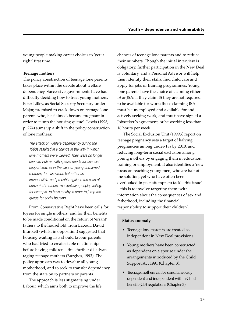young people making career choices to 'get it right' first time.

#### **Teenage mothers**

The policy construction of teenage lone parents takes place within the debate about welfare dependency. Successive governments have had difficulty deciding how to treat young mothers. Peter Lilley, as Social Security Secretary under Major, promised to crack down on teenage lone parents who, he claimed, became pregnant in order to 'jump the housing queue'. Lewis (1998, p. 274) sums up a shift in the policy construction of lone mothers:

The attack on welfare dependency during the 1980s resulted in a change in the way in which lone mothers were viewed. They were no longer seen as victims with special needs for financial support and, as in the case of young unmarried mothers, for casework, but rather as irresponsible, and probably, again in the case of unmarried mothers, manipulative people, willing, for example, to have a baby in order to jump the queue for social housing.

From Conservative Right have been calls for foyers for single mothers, and for their benefits to be made conditional on the return of 'errant' fathers to the household; from Labour, David Blunkett (whilst in opposition) suggested that housing waiting lists should favour parents who had tried to create stable relationships before having children – thus further disadvantaging teenage mothers (Burghes, 1993). The policy approach was to devalue all young motherhood, and to seek to transfer dependency from the state on to partners or parents.

The approach is less stigmatising under Labour, which aims both to improve the life chances of teenage lone parents and to reduce their numbers. Though the initial interview is obligatory, further participation in the New Deal is voluntary, and a Personal Advisor will help them identify their skills, find child care and apply for jobs or training programmes. Young lone parents have the choice of claiming either IS or JSA: if they claim IS they are not required to be available for work; those claiming JSA must be unemployed and available for and actively seeking work, and must have signed a Jobseeker's agreement, or be working less than 16 hours per week.

The Social Exclusion Unit (1999b) report on teenage pregnancy sets a target of halving pregnancies among under-18s by 2010, and reducing long-term social exclusion among young mothers by engaging them in education, training or employment. It also identifies a 'new focus on reaching young men, who are half of the solution, yet who have often been overlooked in past attempts to tackle this issue' – this is to involve targeting them 'with information about the consequences of sex and fatherhood, including the financial responsibility to support their children'.

#### **Status anomaly**

- Teenage lone parents are treated as independent in New Deal provisions.
- Young mothers have been constructed as dependent on a spouse under the arrangements introduced by the Child Support Act 1991 (Chapter 3).
- Teenage mothers can be simultaneously dependent and independent within Child Benefit (CB) regulations (Chapter 3).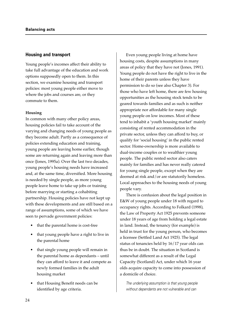## **Housing and transport**

Young people's incomes affect their ability to take full advantage of the education and work options supposedly open to them. In this section, we examine housing and transport policies: most young people either move to where the jobs and courses are, or they commute to them.

## **Housing**

In common with many other policy areas, housing policies fail to take account of the varying and changing needs of young people as they become adult. Partly as a consequence of policies extending education and training, young people are leaving home earlier, though some are returning again and leaving more than once (Jones, 1995a). Over the last two decades, young people's housing needs have increased and, at the same time, diversified. More housing is needed by single people, as more young people leave home to take up jobs or training before marrying or starting a cohabiting partnership. Housing policies have not kept up with these developments and are still based on a range of assumptions, some of which we have seen to pervade government policies:

- that the parental home is cost-free
- that young people have a right to live in the parental home
- that single young people will remain in the parental home as dependants – until they can afford to leave it and compete as newly formed families in the adult housing market
- that Housing Benefit needs can be identified by age criteria.

Even young people living at home have housing costs, despite assumptions in many areas of policy that they have not (Jones, 1991). Young people do not have the right to live in the home of their parents unless they have permission to do so (see also Chapter 3). For those who have left home, there are few housing opportunities as the housing stock tends to be geared towards families and as such is neither appropriate nor affordable for many single young people on low incomes. Most of these tend to inhabit a 'youth housing market' mainly consisting of rented accommodation in the private sector, unless they can afford to buy, or qualify for 'social housing' in the public rented sector. Home-ownership is more available to dual-income couples or to wealthier young people. The public rented sector also caters mainly for families and has never really catered for young single people, except when they are deemed at risk and/or are statutorily homeless. Local approaches to the housing needs of young people vary.

There is confusion about the legal position in E&W of young people under 18 with regard to occupancy rights. According to Folkard (1998), the Law of Property Act 1925 prevents someone under 18 years of age from holding a legal estate in land. Instead, the tenancy (for example) is held in trust for the young person, who becomes a licensee (Settled Land Act 1925). The legal status of tenancies held by 16/17 year olds can thus be in doubt. The situation in Scotland is somewhat different as a result of the Legal Capacity (Scotland) Act, under which 16 year olds acquire capacity to come into possession of a domicile of choice.

The underlying assumption is that young people without dependants are not vulnerable and can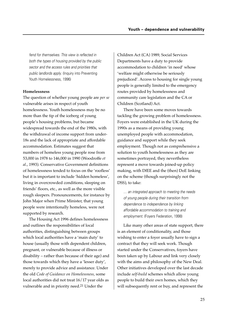fend for themselves. This view is reflected in both the types of housing provided by the public sector and the access rules and priorities that public landlords apply. (Inquiry into Preventing Youth Homelessness, 1996)

## **Homelessness**

The question of whether young people are *per se* vulnerable arises in respect of youth homelessness. Youth homelessness may be no more than the tip of the iceberg of young people's housing problems, but became widespread towards the end of the 1980s, with the withdrawal of income support from under-18s and the lack of appropriate and affordable accommodation. Estimates suggest that numbers of homeless young people rose from 53,000 in 1978 to 146,000 in 1990 (Woodroffe *et al*., 1993). Conservative Government definitions of homelessness tended to focus on the 'roofless' but it is important to include 'hidden homeless', living in overcrowded conditions, sleeping on friends' floors, etc., as well as the more visible rough sleepers. Pronouncements, for instance by John Major when Prime Minister, that young people were intentionally homeless, were not supported by research.

The Housing Act 1996 defines homelessness and outlines the responsibilities of local authorities, distinguishing between groups which local authorities have a 'main duty' to house (usually those with dependent children, pregnant, or vulnerable because of illness or disability – rather than because of their age) and those towards which they have a 'lesser duty', merely to provide advice and assistance. Under the old *Code of Guidance on Homelessness*, some local authorities did not treat 16/17 year olds as vulnerable and in priority need.21 Under the

Children Act (CA) 1989, Social Services Departments have a duty to provide accommodation to children 'in need' whose 'welfare might otherwise be seriously prejudiced'. Access to housing for single young people is generally limited to the emergency routes provided by homelessness and community care legislation and the CA or Children (Scotland) Act.

There have been some moves towards tackling the growing problem of homelessness. Foyers were established in the UK during the 1990s as a means of providing young unemployed people with accommodation, guidance and support while they seek employment. Though not as comprehensive a solution to youth homelessness as they are sometimes portrayed, they nevertheless represent a move towards joined-up policy making, with DfEE and the (then) DoE linking on the scheme (though surprisingly not the DSS), to take:

… an integrated approach to meeting the needs of young people during their transition from dependence to independence by linking affordable accommodation to training and employment. (Foyers Federation, 1998)

Like many other areas of state support, there is an element of conditionality, and those wishing to enter a foyer usually have to sign a contract that they will seek work. Though started under the Conservatives, foyers have been taken up by Labour and link very closely with the aims and philosophy of the New Deal. Other initiatives developed over the last decade include *self-build* schemes which allow young people to build their own homes, which they will subsequently rent or buy, and represent the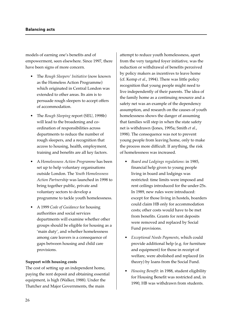models of earning one's benefits and of empowerment, seen elsewhere. Since 1997, there have been signs of more concern.

- The *Rough Sleepers' Initiative* (now known as the Homeless Action Programme) which originated in Central London was extended to other areas. Its aim is to persuade rough sleepers to accept offers of accommodation.
- The *Rough Sleeping* report (SEU, 1998b) will lead to the broadening and coordination of responsibilities across departments to reduce the number of rough sleepers, and a recognition that access to housing, health, employment, training and benefits are all key factors.
- A *Homelessness Action Programme* has been set up to help voluntary organisations outside London. The *Youth Homelessness Action Partnership* was launched in 1998 to bring together public, private and voluntary sectors to develop a programme to tackle youth homelessness.
- A 1999 *Code of Guidance* for housing authorities and social services departments will examine whether other groups should be eligible for housing as a 'main duty', and whether homelessness among care leavers is a consequence of gaps between housing and child care provisions.

#### **Support with housing costs**

The cost of setting up an independent home, paying the rent deposit and obtaining essential equipment, is high (Walker, 1988). Under the Thatcher and Major Governments, the main

attempt to reduce youth homelessness, apart from the very targeted foyer initiative, was the reduction or withdrawal of benefits perceived by policy makers as incentives to leave home (cf. Kemp *et al*., 1994). There was little policy recognition that young people might need to live independently of their parents. The idea of the family home as a continuing resource and a safety net was an example of the dependency assumption, and research on the causes of youth homelessness shows the danger of assuming that families will step in when the state safety net is withdrawn (Jones, 1995a; Smith *et al*., 1998). The consequence was not to prevent young people from leaving home, only to make the process more difficult. If anything, the risk of homelessness was increased.

- *Board and Lodgings regulations*: in 1985, financial help given to young people living in board and lodgings was restricted: time limits were imposed and rent ceilings introduced for the under-25s. In 1989, new rules were introduced: except for those living in hostels, boarders could claim HB only for accommodation costs; other costs would have to be met from benefits. Grants for rent deposits were removed and replaced by Social Fund provisions.
- *Exceptional Needs Payments*, which could provide additional help (e.g. for furniture and equipment) for those in receipt of welfare, were abolished and replaced (in theory) by loans from the Social Fund.
- *Housing Benefit*: in 1988, student eligibility for Housing Benefit was restricted and, in 1990, HB was withdrawn from students.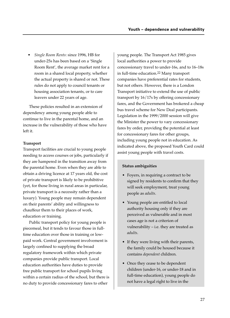• *Single Room Rents*: since 1996, HB for under-25s has been based on a 'Single Room Rent', the average market rent for a room in a shared local property, whether the actual property is shared or not. These rules do not apply to council tenants or housing association tenants, or to care leavers under 22 years of age.

These policies resulted in an extension of dependency among young people able to continue to live in the parental home, and an increase in the vulnerability of those who have left it.

## **Transport**

Transport facilities are crucial to young people needing to access courses or jobs, particularly if they are hampered in the transition away from the parental home. Even when they are able to obtain a driving licence at 17 years old, the cost of private transport is likely to be prohibitive (yet, for those living in rural areas in particular, private transport is a necessity rather than a luxury). Young people may remain dependent on their parents' ability and willingness to chauffeur them to their places of work, education or training.

Public transport policy for young people is piecemeal, but it tends to favour those in fulltime education over those in training or lowpaid work. Central government involvement is largely confined to supplying the broad regulatory framework within which private companies provide public transport. Local education authorities have duties to provide free public transport for school pupils living within a certain radius of the school, but there is no duty to provide concessionary fares to other

young people. The Transport Act 1985 gives local authorities a power to provide concessionary travel to under-16s, and to 16–18s in full-time education.22 Many transport companies have preferential rates for students, but not others. However, there is a London Transport initiative to extend the use of public transport by 16/17s by offering concessionary fares, and the Government has brokered a cheap bus travel scheme for New Deal participants. Legislation in the 1999/2000 session will give the Minister the power to vary concessionary fares by order, providing the potential at least for concessionary fares for other groups, including young people not in education. As indicated above, the proposed Youth Card could assist young people with travel costs.

## **Status ambiguities**

- Foyers, in requiring a contract to be signed by residents to confirm that they will seek employment, treat young people as *adults*.
- Young people are entitled to local authority housing only if they are perceived as vulnerable and in most cases age is not a criterion of vulnerability – i.e. they are treated as *adults*.
- If they were living with their parents, the family could be housed because it contains *dependent* children.
- Once they cease to be dependent children (under-16, or under-18 and in full-time education), young people do not have a legal right to live in the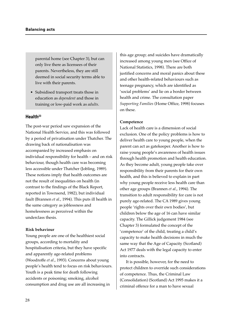parental home (see Chapter 3), but can only live there as licensees of their parents. Nevertheless, they are still deemed in social security terms able to live with their parents.

• Subsidised transport treats those in education as *dependent* and those in training or low-paid work as *adults*.

## **Health23**

The post-war period saw expansion of the National Health Service, and this was followed by a period of privatisation under Thatcher. The drawing back of nationalisation was accompanied by increased emphasis on individual responsibility for health – and on risk behaviour, though health care was becoming less accessible under Thatcher (Jobling, 1989). These notions imply that health outcomes are not the result of inequalities on health (in contrast to the findings of the Black Report, reported in Townsend, 1982), but individual fault (Brannen *et al*., 1994). This puts ill health in the same category as joblessness and homelessness as perceived within the underclass thesis.

## **Risk behaviour**

Young people are one of the healthiest social groups, according to mortality and hospitalisation criteria, but they have specific and apparently age-related problems (Woodroffe *et al*., 1993). Concerns about young people's health tend to focus on risk behaviours. Youth is a peak time for death following accidents or poisoning; smoking, alcohol consumption and drug use are all increasing in

this age group; and suicides have dramatically increased among young men (see Office of National Statistics, 1998). There are both justified concerns and moral panics about these and other health-related behaviours such as teenage pregnancy, which are identified as 'social problems' and lie on a border between health and crime. The consultation paper *Supporting Families* (Home Office, 1998) focuses on these.

## **Competence**

Lack of health care is a dimension of social exclusion. One of the policy problems is how to deliver health care to young people, when the parent can act as gatekeeper. Another is how to raise young people's awareness of health issues through health promotion and health education. As they become adult, young people take over responsibility from their parents for their own health, and this is believed to explain in part why young people receive less health care than other age groups (Brannen *et al*., 1994). The transition to adult responsibility for care is not purely age-related. The CA 1989 gives young people 'rights over their own bodies', but children below the age of 16 can have similar capacity. The Gillick judgement 1984 (see Chapter 3) formulated the concept of the 'competence' of the child, treating a child's capacity to make health decisions in much the same way that the Age of Capacity (Scotland) Act 1977 deals with the legal capacity to enter into contracts.

It is possible, however, for the need to protect children to override such considerations of competence. Thus, the Criminal Law (Consolidation) (Scotland) Act 1995 makes it a criminal offence for a man to have sexual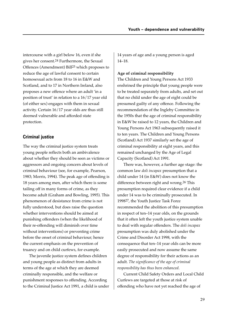intercourse with a girl below 16, even if she gives her consent.24 Furthermore, the Sexual Offences (Amendment) Bill25 which proposes to reduce the age of lawful consent to certain homosexual acts from 18 to 16 in E&W and Scotland, and to 17 in Northern Ireland, also proposes a new offence where an adult 'in a position of trust' in relation to a 16/17 year old (of either sex) engages with them in sexual activity. Certain 16/17 year olds are thus still deemed vulnerable and afforded state protection.

## **Criminal justice**

The way the criminal justice system treats young people reflects both an ambivalence about whether they should be seen as victims or aggressors and ongoing concern about levels of criminal behaviour (see, for example, Pearson, 1983; Morris, 1994). The peak age of offending is 18 years among men, after which there is some tailing off in many forms of crime, as they become adult (Graham and Bowling, 1995). This phenomenon of desistance from crime is not fully understood, but does raise the question whether interventions should be aimed at punishing offenders (when the likelihood of their re-offending will diminish over time without interventions) or preventing crime before the onset of criminal behaviour; hence the current emphasis on the prevention of truancy and on child curfews, for example.

The juvenile justice system defines children and young people as distinct from adults in terms of the age at which they are deemed criminally responsible, and the welfare or punishment responses to offending. According to the Criminal Justice Act 1991, a child is under 14 years of age and a young person is aged 14–18.

## **Age of criminal responsibility**

The Children and Young Persons Act 1933 enshrined the principle that young people were to be treated separately from adults, and set out that no child under the age of eight could be presumed guilty of any offence. Following the recommendation of the Ingleby Committee in the 1950s that the age of criminal responsibility in E&W be raised to 12 years, the Children and Young Persons Act 1963 subsequently raised it to ten years. The Children and Young Persons (Scotland) Act 1937 similarly set the age of criminal responsibility at eight years, and this remained unchanged by the Age of Legal Capacity (Scotland) Act 1991.

There was, however, a further age stage: the common law *doli incapax* presumption that a child under 14 (in E&W) does not know the difference between right and wrong.26 This presumption required clear evidence if a child under 14 was to be criminally prosecuted. In 199827, the Youth Justice Task Force recommended the abolition of this presumption in respect of ten–14 year olds, on the grounds that it often left the youth justice system unable to deal with regular offenders. The *doli incapax* presumption was duly abolished under the Crime and Disorder Act 1998, with the consequence that ten–14 year olds can be more easily prosecuted and now assume the same degree of responsibility for their actions as an adult. *The significance of the age of criminal responsibility has thus been enhanced*.

Current Child Safety Orders and Local Child Curfews are targeted at those at risk of offending who have not yet reached the age of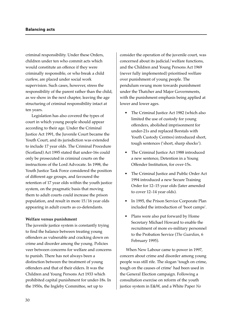criminal responsibility. Under these Orders, children under ten who commit acts which would constitute an offence if they were criminally responsible, or who break a child curfew, are placed under social work supervision. Such cases, however, stress the responsibility of the parent rather than the child, as we show in the next chapter, leaving the age structuring of criminal responsibility intact at ten years.

Legislation has also covered the types of court in which young people should appear according to their age. Under the Criminal Justice Act 1991, the Juvenile Court became the Youth Court, and its jurisdiction was extended to include 17 year olds. The Criminal Procedure (Scotland) Act 1995 stated that under-16s could only be prosecuted in criminal courts on the instructions of the Lord Advocate. In 1998, the Youth Justice Task Force considered the position of different age groups, and favoured the retention of 17 year olds within the youth justice system, on the pragmatic basis that moving them to adult courts could increase the prison population, and result in more 15/16 year olds appearing in adult courts as co-defendants.

#### **Welfare versus punishment**

The juvenile justice system is constantly trying to find the balance between treating young offenders as vulnerable and cracking down on crime and disorder among the young. Policies veer between concerns for welfare and concerns to punish. There has not always been a distinction between the treatment of young offenders and that of their elders. It was the Children and Young Persons Act 1933 which prohibited capital punishment for under-18s. In the 1950s, the Ingleby Committee, set up to

consider the operation of the juvenile court, was concerned about its judicial/welfare functions, and the Children and Young Persons Act 1969 (never fully implemented) prioritised welfare over punishment of young people. The pendulum swung more towards punishment under the Thatcher and Major Governments, with the punishment emphasis being applied at lower and lower ages.

- The Criminal Justice Act 1982 (which also limited the use of custody for young offenders, abolished imprisonment for under-21s and replaced Borstals with Youth Custody Centres) introduced short, tough sentences ('short, sharp shocks').
- The Criminal Justice Act 1988 introduced a new sentence, Detention in a Young Offender Institution, for over-15s.
- The Criminal Justice and Public Order Act 1994 introduced a new Secure Training Order for 12–15 year olds (later amended to cover 12–14 year olds).
- In 1995, the Prison Service Corporate Plan included the introduction of 'boot camps'.
- Plans were also put forward by Home Secretary Michael Howard to enable the recruitment of more ex-military personnel to the Probation Service (*The Guardian*, 6 February 1995).

When New Labour came to power in 1997, concern about crime and disorder among young people was still rife. The slogan 'tough on crime, tough on the causes of crime' had been used in the General Election campaign. Following a consultation exercise on reform of the youth justice system in E&W, and a White Paper *No*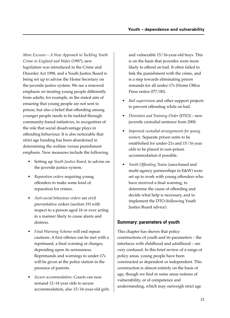*More Excuses – A New Approach to Tackling Youth Crime in England and Wales* (1997), new legislation was introduced in the Crime and Disorder Act 1998, and a Youth Justice Board is being set up to advise the Home Secretary on the juvenile justice system. We see a renewed emphasis on treating young people differently from adults, for example, in the stated aim of ensuring that young people are not sent to prison, but also a belief that offending among younger people needs to be tackled through community-based initiatives, in recognition of the role that social disadvantage plays in offending behaviour. It is also noticeable that strict age banding has been abandoned in determining the welfare versus punishment emphasis. New measures include the following.

- Setting up *Youth Justice Board*, to advise on the juvenile justice system.
- *Reparation orders* requiring young offenders to make some kind of reparation for crimes.
- *Anti-social behaviour orders* are civil preventative orders (section 19) with respect to a person aged 16 or over acting in a manner likely to cause alarm and distress.
- *Final Warning Scheme* will end repeat cautions. A first offence can be met with a reprimand, a final warning or charges, depending upon its seriousness. Reprimands and warnings to under-17s will be given at the police station in the presence of parents.
- *Secure accommodation*. Courts can now remand 12–14 year olds to secure accommodation, also 15/16-year-old girls

and vulnerable 15/16-year-old boys. This is on the basis that juveniles were more likely to offend on bail. It often failed to link the punishment with the crime, and is a step towards eliminating prison remands for all under-17s (Home Office Press notice 077/00).

- *Bail supervision* and other support projects to prevent offending while on bail.
- *Detention and Training Order* (DTO) new juvenile custodial sentence from 2000.
- *Improved custodial arrangements for young women*. Separate prison units to be established for under-21s and 15/16 year olds to be placed in non-prison accommodation if possible.
- *Youth Offending Teams* (area-based and multi-agency partnerships in E&W) were set up to work with young offenders who have received a final warning, to determine the cause of offending and decide what help is necessary, and to implement the DTO (following Youth Justice Board advice).

## **Summary: parameters of youth**

This chapter has shown that policy constructions of youth and its parameters – the interfaces with childhood and adulthood – are very confused. In this brief review of a range of policy areas, young people have been constructed as dependent or independent. This construction is almost entirely on the basis of age, though we find in some areas notions of vulnerability, or of competence and understanding, which may outweigh strict age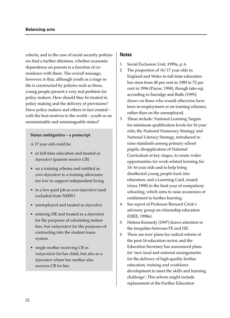criteria, and in the case of social security policies we find a further dilemma, whether economic dependence on parents is a function of coresidence with them. The overall message, however, is that, although youth as a stage in life is constructed by policies such as these, young people present a very real problem for policy makers. How should they be treated in policy making and the delivery of provisions? Have policy makers and others in fact created – with the best motives in the world – youth as an unsustainable and unmanageable status?

#### **Status ambiguities – a postscript**

A 17 year old could be:

- in full-time education and treated as *dependent* (parents receive CB)
- on a training scheme and entitled as *semi-dependent* to a training allowance too low to support independent living
- in a low-paid job as *semi-dependent* (and excluded from NMW)
- unemployed and treated as *dependent*
- entering HE and treated as a *dependant* for the purposes of calculating tuition fees, but *independent* for the purposes of contracting into the student loans system
- single mother receiving CB as *independent* for her child, but also as a *dependant* where her mother also receives CB for her.

## **Notes**

- 1 Social Exclusion Unit, 1999a, p. 6.
- 2 The proportion of  $16/17$  year olds in England and Wales in full-time education has risen from 48 per cent in 1989 to 72 per cent in 1996 (Payne, 1998), though take-up, according to Surridge and Raffe (1995), draws on those who would otherwise have been in employment or on training schemes, rather than on the unemployed.
- 3 These include: National Learning Targets for minimum qualification levels for 16 year olds; the National Numeracy Strategy and National Literacy Strategy, introduced to raise standards among primary school pupils; disapplication of National Curriculum at key stages, to create wider opportunities for work-related learning for 14–16 year olds and to help bring disaffected young people back into education; and a Learning Card, issued (since 1998) in the final year of compulsory schooling, which aims to raise awareness of entitlement to further learning.
- 4 See report of Professor Bernard Crick's advisory group on citizenship education (DfEE, 1998a).
- 5 Helena Kennedy (1997) draws attention to the inequities between FE and HE.
- 6 There are now plans for radical reform of the post-16 education sector, and the Education Secretary has announced plans for 'new local and national arrangements for the delivery of high-quality further education, training and workforce development to meet the skills and learning challenge'. This reform might include replacement of the Further Education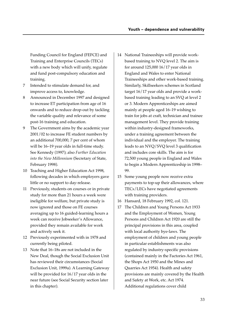Funding Council for England (FEFCE) and Training and Enterprise Councils (TECs) with a new body which will unify, regulate and fund post-compulsory education and training.

- 7 Intended to stimulate demand for, and improve access to, knowledge.
- 8 Announced in December 1997 and designed to increase ET participation from age of 16 onwards and to reduce drop-out by tackling the variable quality and relevance of some post-16 training and education.
- 9 The Government aims by the academic year 2001/02 to increase FE student numbers by an additional 700,000, 7 per cent of whom will be 16–19 year olds in full-time study. See Kennedy (1997); also *Further Education into the New Millennium* (Secretary of State, February 1998).
- 10 Teaching and Higher Education Act 1998, following decades in which employers gave little or no support to day-release.
- 11 Previously, students on courses or in private study for more than 21 hours a week were ineligible for welfare, but private study is now ignored and those on FE courses averaging up to 16 guided-learning hours a week can receive Jobseeker's Allowance, provided they remain available for work and actively seek it.
- 12 Previously experimented with in 1978 and currently being piloted.
- 13 Note that 16–18s are not included in the New Deal, though the Social Exclusion Unit has reviewed their circumstances (Social Exclusion Unit, 1999a). A Learning Gateway will be provided for 16/17 year olds in the near future (see Social Security section later in this chapter).
- 14 National Traineeships will provide workbased training to NVQ level 2. The aim is for around 125,000 16/17 year olds in England and Wales to enter National Traineeships and other work-based training. Similarly, Skillseekers schemes in Scotland target 16/17 year olds and provide a workbased training leading to an SVQ at level 2 or 3. Modern Apprenticeships are aimed mainly at people aged 16–19 wishing to train for jobs at craft, technician and trainee management level. They provide training within industry-designed frameworks, under a training agreement between the individual and the employer. The training leads to an NVQ/SVQ level 3 qualification and includes core skills. The aim is for 72,500 young people in England and Wales to begin a Modern Apprenticeship in 1998– 99.
- 15 Some young people now receive extra payments to top-up their allowances, where TECs/LECs have negotiated agreements with training providers.
- 16 Hansard, 18 February 1992, col. 121.
- 17 The Children and Young Persons Act 1933 and the Employment of Women, Young Persons and Children Act 1920 are still the principal provisions in this area, coupled with local authority bye-laws. The employment of children and young people in particular establishments was also regulated by industry-specific provisions (contained mainly in the Factories Act 1961, the Shops Act 1950 and the Mines and Quarries Act 1954). Health and safety provisions are mainly covered by the Health and Safety at Work, etc. Act 1974. Additional regulations cover child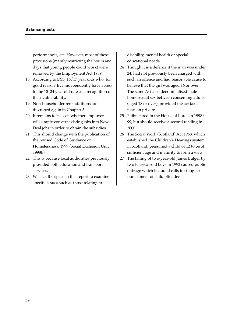performances, etc. However, most of these provisions (mainly restricting the hours and days that young people could work) were removed by the Employment Act 1989.

- 18 According to DSS, 16/17 year olds who 'for good reason' live independently have access to the 18–24 year old rate as a recognition of their vulnerability.
- 19 Non-householder rent additions are discussed again in Chapter 3.
- 20 It remains to be seen whether employers will simply convert existing jobs into New Deal jobs in order to obtain the subsidies.
- 21 This should change with the publication of the revised Code of Guidance on Homelessness, 1999 (Social Exclusion Unit, 1998b).
- 22 This is because local authorities previously provided both education and transport services.
- 23 We lack the space in this report to examine specific issues such as those relating to

disability, mental health or special educational needs.

- 24 Though it is a defence if the man was under 24, had not previously been charged with such an offence and had reasonable cause to believe that the girl was aged 16 or over. The same Act also decriminalised male homosexual sex between consenting adults (aged 18 or over), provided the act takes place in private.
- 25 Filibustered in the House of Lords in 1998/ 99, but should receive a second reading in 2000.
- 26 The Social Work (Scotland) Act 1968, which established the Children's Hearings system in Scotland, presumed a child of 12 to be of sufficient age and maturity to form a view.
- 27 The killing of two-year-old James Bulger by two ten-year-old boys in 1993 caused public outrage which included calls for tougher punishment of child offenders.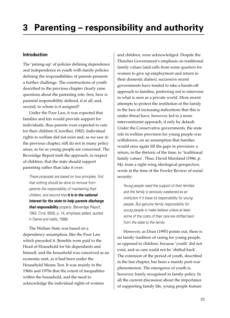## **Introduction**

The 'joining-up' of policies defining dependence and independence in youth with family policies defining the responsibilities of parents presents a further challenge. The constructions of youth described in the previous chapter clearly raise questions about the parenting role: first, how is parental responsibility defined, if at all; and, second, to whom is it assigned?

Under the Poor Law, it was expected that families and kin would provide support for individuals, thus parents were expected to care for their children (Crowther, 1982). Individual rights to welfare did not exist and, as we saw in the previous chapter, still do not in many policy areas, as far as young people are concerned. The Beveridge Report took the approach, in respect of children, that the state should support parenting rather than take it over:

These proposals are based on two principles, first that nothing should be done to remove from parents the responsibility of maintaining their children, and second that **it is in the national interest for the state to help parents discharge that responsibility** properly. (Beveridge Report, 1942, Cmd. 6550, p. 14, emphasis added, quoted in Daniel and Ivatts, 1998)

The Welfare State was based on a dependency assumption, like the Poor Law which preceded it. Benefits were paid to the Head of Household for his dependants and himself, and the household was conceived as an economic unit, as it had been under the Household Means Test. It was mainly in the 1960s and 1970s that the extent of inequalities within the household, and the need to acknowledge the individual rights of women

and children, were acknowledged. Despite the Thatcher Government's emphasis on traditional family values (and calls from some quarters for women to give up employment and return to their domestic duties), successive recent governments have tended to take a hands-off approach to families, preferring not to intervene in what is seen as a private world. More recent attempts to protect the institution of the family in the face of increasing indications that this is under threat have, however, led to a more interventionist approach, if only by default. Under the Conservative governments, the state role in welfare provision for young people was withdrawn, on an assumption that families would once again fill the gaps in provision: a return, in the rhetoric of the time, to 'traditional family values'. Thus, David Marsland (1986, p. 94), from a right-wing ideological perspective, wrote at the time of the Fowler Review of social security:

Young people need the support of their families and the family is seriously weakened as an institution if it loses its responsibility for young people. But genuine family responsibility for young people is make believe unless at least some of the costs of their care are shifted back from the state to the family.

However, as Dean (1995) points out, there is no family tradition of caring for young people, as opposed to children, because 'youth' did not exist, and so care could not be 'shifted back'. The extension of the period of youth, described in the last chapter, has been a mainly post-war phenomenon. The emergence of youth is, however, barely recognised in family policy. In all the current discussion about the importance of supporting family life, young people feature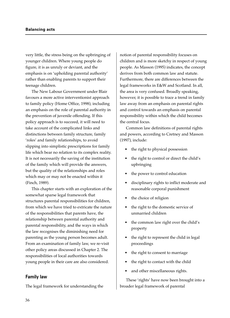very little, the stress being on the upbringing of younger children. Where young people do figure, it is as unruly or deviant, and the emphasis is on 'upholding parental authority' rather than enabling parents to support their teenage children.

The New Labour Government under Blair favours a more active interventionist approach to family policy (Home Office, 1998), including an emphasis on the role of parental authority in the prevention of juvenile offending. If this policy approach is to succeed, it will need to take account of the complicated links and distinctions between family structure, family 'roles' and family relationships, to avoid slipping into simplistic prescriptions for family life which bear no relation to its complex reality. It is not necessarily the saving of the institution of the family which will provide the answers, but the quality of the relationships and roles which may or may not be enacted within it (Finch, 1989).

This chapter starts with an exploration of the somewhat sparse legal framework that structures parental responsibilities for children, from which we have tried to extricate the nature of the responsibilities that parents have, the relationship between parental authority and parental responsibility, and the ways in which the law recognises the diminishing need for parenting as the young person becomes adult. From an examination of family law, we re-visit other policy areas discussed in Chapter 2. The responsibilities of local authorities towards young people in their care are also considered.

## **Family law**

The legal framework for understanding the

notion of parental responsibility focuses on children and is more sketchy in respect of young people. As Masson (1995) indicates, the concept derives from both common law and statute. Furthermore, there are differences between the legal frameworks in E&W and Scotland. In all, the area is very confused. Broadly speaking, however, it is possible to trace a trend in family law away from an emphasis on parental rights and control towards an emphasis on parental responsibility within which the child becomes the central focus.

Common law definitions of parental rights and powers, according to Cretney and Masson (1997), include:

- the right to physical possession
- the right to control or direct the child's upbringing
- the power to control education
- disciplinary rights to inflict moderate and reasonable corporal punishment
- the choice of religion
- the right to the domestic service of unmarried children
- the common law right over the child's property
- the right to represent the child in legal proceedings
- the right to consent to marriage
- the right to contact with the child
- and other miscellaneous rights.

These 'rights' have now been brought into a broader legal framework of parental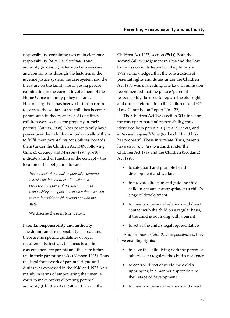responsibility, containing two main elements: responsibility (*to care and maintain*) and authority (*to control*). A tension between care and control runs through the histories of the juvenile justice system, the care system and the literature on the family life of young people, culminating in the current involvement of the Home Office in family policy making. Historically, there has been a shift from control to care, as the welfare of the child has become paramount, in theory at least. At one time, children were seen as the property of their parents (Gittins, 1998). Now parents only have power over their children in order to allow them to fulfil their parental responsibilities towards them (under the Children Act 1989, following Gillick). Cretney and Masson (1997; p. 610) indicate a further function of the concept – the location of the obligation to care:

The concept of parental responsibility performs two distinct but interrelated functions. It describes the power of parents in terms of responsibility not rights, and locates the obligation to care for children with parents not with the state.

We discuss these in turn below.

#### **Parental responsibility and authority**

The definition of responsibility is broad and there are no specific guidelines or legal requirements; instead, the focus is on the consequences for parents and the state if they fail in their parenting tasks (Masson 1995). Thus, the legal framework of parental rights and duties was expressed in the 1948 and 1975 Acts mainly in terms of empowering the juvenile court to make orders allocating parental authority (Children Act 1948 and later in the

Children Act 1975, section 85(1)). Both the second Gillick judgement in 1984 and the Law Commission in its Report on Illegitimacy in 1982 acknowledged that the construction of parental rights and duties under the Children Act 1975 was misleading. The Law Commission recommended that the phrase 'parental responsibility' be used to replace the old 'rights and duties' referred to in the Children Act 1975 (Law Commission Report No. 172).

The Children Act 1989 section 3(1), in using the concept of parental responsibility, thus identified both parental *rights and powers*, and *duties and responsibilities* (to the child and his/ her property). These interrelate. Thus, parents have *responsibilities* to a child, under the Children Act 1989 and the Children (Scotland) Act 1995:

- to safeguard and promote health, development and welfare
- to provide direction and guidance to a child in a manner appropriate to a child's stage of development
- to maintain personal relations and direct contact with the child on a regular basis, if the child is not living with a parent
- to act as the child's legal representative.

And, *in order to fulfil these responsibilities*, they have enabling rights:

- to have the child living with the parent or otherwise to regulate the child's residence
- to control, direct or guide the child's upbringing in a manner appropriate to their stage of development
- to maintain personal relations and direct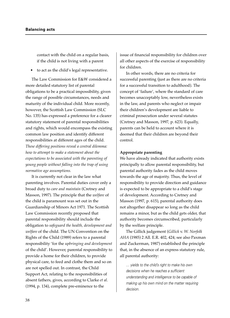contact with the child on a regular basis, if the child is not living with a parent

• to act as the child's legal representative.

The Law Commission for E&W considered a more detailed statutory list of parental obligations to be a practical impossibility, given the range of possible circumstances, needs and maturity of the individual child. More recently, however, the Scottish Law Commission (SLC No. 135) has expressed a preference for a clearer statutory statement of parental responsibilities and rights, which would encompass the existing common law position and identify different responsibilities at different ages of the child. *These differing positions reveal a central dilemma: how to attempt to make a statement about the expectations to be associated with the parenting of young people without falling into the trap of using normative age assumptions.*

It is currently not clear in the law what parenting involves. Parental duties cover only a broad duty to *care and maintain* (Cretney and Masson, 1997). The principle that the *welfare* of the child is paramount was set out in the Guardianship of Minors Act 1971. The Scottish Law Commission recently proposed that parental responsibility should include the obligation to *safeguard the health, development and welfare* of the child. The UN Convention on the Rights of the Child (1989) refers to a parental responsibility 'for the *upbringing and development* of the child'. However, parental responsibility to provide a home for their children, to provide physical care, to feed and clothe them and so on are not spelled out. In contrast, the Child Support Act, relating to the responsibilities of absent fathers, gives, according to Clarke *et al*. (1994, p. 134), complete pre-eminence to the

issue of financial responsibility for children over all other aspects of the exercise of responsibility for children.

In other words, there are no criteria for successful parenting (just as there are no criteria for a successful transition to adulthood). The concept of 'failure', where the standard of care becomes unacceptably low, nevertheless exists in the law, and parents who neglect or impair their children's development are liable to criminal prosecution under several statutes (Cretney and Masson, 1997, p. 623). Equally, parents can be held to account where it is deemed that their children are beyond their control.

#### **Appropriate parenting**

We have already indicated that authority exists principally to allow parental responsibility, but parental authority fades as the child moves towards the age of majority. Thus, the level of responsibility to provide direction and guidance is expected to be appropriate to a child's stage of development. According to Cretney and Masson (1997, p. 615), parental authority does not altogether disappear so long as the child remains a minor, but as the child gets older, that authority becomes circumscribed, particularly by the welfare principle.

The Gillick judgement (*Gillick* v. *W. Norfolk AHA* (1985) 2 All. E.R. 402, 424; see also Paxman and Zuckerman, 1987) established the principle that, in the absence of an express statutory rule, all parental authority:

… yields to the child's right to make his own decisions when he reaches a sufficient understanding and intelligence to be capable of making up his own mind on the matter requiring decision.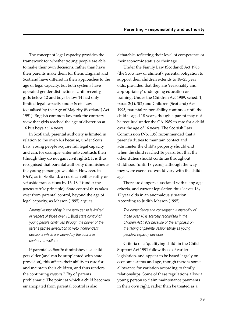The concept of legal capacity provides the framework for whether young people are able to make their own decisions, rather than have their parents make them for them. England and Scotland have differed in their approaches to the age of legal capacity, but both systems have operated gender distinctions. Until recently, girls below 12 and boys below 14 had only limited legal capacity under Scots Law (equalised by the Age of Majority (Scotland) Act 1991). English common law took the contrary view that girls reached the age of discretion at 16 but boys at 14 years.

In Scotland, parental authority is limited in relation to the over-16s because, under Scots Law, young people acquire full legal capacity and can, for example, enter into contracts then (though they do not gain civil rights). It is thus recognised that parental authority diminishes as the young person grows older. However, in E&W, as in Scotland, a court can either ratify or set aside transactions by 16–18s1 (under the *parens patriae* principle). State control thus takes over from parental control, beyond the age of legal capacity, as Masson (1995) argues:

Parental responsibility in the legal sense is limited in respect of those over 16, [but] state control of young people continues through the power of the parens patriae jurisdiction to veto independent decisions which are viewed by the courts as contrary to welfare.

If parental *authority* diminishes as a child gets older (and can be supplanted with state provision), this affects their ability to care for and maintain their children, and thus renders the continuing *responsibility* of parents problematic. The point at which a child becomes emancipated from parental control is also

debatable, reflecting their level of competence or their economic status or their age.

Under the Family Law (Scotland) Act 1985 (the Scots law of aliment), parental obligation to support their children extends to 18–25 year olds, provided that they are 'reasonably and appropriately' undergoing education or training. Under the Children Act 1989, sched. 1, paras 2(1), 3(2) and Children (Scotland) Act 1995, parental responsibility continues until the child is aged 18 years, though a parent may not be required under the CA 1989 to care for a child over the age of 16 years. The Scottish Law Commission (No. 135) recommended that a parent's duties to maintain contact and administer the child's property should end when the child reached 16 years, but that the other duties should continue throughout childhood (until 18 years), although the way they were exercised would vary with the child's age.

There are dangers associated with using age criteria, and current legislation thus leaves 16/ 17 year olds in an anomalous situation. According to Judith Masson (1995):

The dependence and consequent vulnerability of those over 16 is scarcely recognised in the Children Act 1989 because of the emphasis on the fading of parental responsibility as young people's capacity develops.

Criteria of a 'qualifying child' in the Child Support Act 1991 follow those of earlier legislation, and appear to be based largely on economic status and age, though there is some allowance for variation according to family relationships. Some of these regulations allow a young person to claim maintenance payments in their own right, rather than be treated as a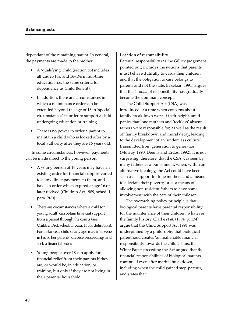dependant of the remaining parent. In general, the payments are made to the mother.

- A 'qualifying' child (section 55) includes all under-16s, and 16–19s in full-time education (i.e. the same criteria for dependency as Child Benefit).
- In addition, there are circumstances in which a maintenance order can be extended beyond the age of 18 in 'special circumstances' in order to support a child undergoing education or training.
- There is no power to order a parent to maintain a child who is looked after by a local authority after they are 16 years old.

In some circumstances, however, payments can be made direct to the young person.

- A young person of 16 years may have an existing order for financial support varied to allow direct payments to them, and have an order which expired at age 16 or later revived (Children Act 1989, sched. 1, para. 2(6)).
- There are circumstances where a child (or young adult) can obtain financial support from a parent through the courts (see Children Act, sched. 1, para. 16 for definition). For instance, a child of any age may intervene in his or her parents' divorce proceedings and seek a financial order.
- Young people over 18 can apply for financial relief from their parents if they are, or would be, in education, or training, but only if they are not living in their parents' household.

## **Location of responsibility**

Parental responsibility (as the Gillick judgement pointed out) includes the notions that parents must behave dutifully towards their children, and that the obligation to care belongs to parents and not the state. Eekelaar (1991) argues that the *location* of responsibility has gradually become the dominant concept.

The Child Support Act (CSA) was introduced at a time when concerns about family breakdown were at their height, amid panics that lone mothers and 'feckless' absent fathers were responsible for, as well as the result of, family breakdown and moral decay, leading to the development of an 'underclass culture' transmitted from generation to generation (Murray, 1990; Dennis and Erdos, 1992). It is not surprising, therefore, that the CSA was seen by many fathers as a punishment, when, within an alternative ideology, the Act could have been seen as a support for lone mothers and a means to alleviate their poverty, or as a means of allowing non-resident fathers to have some involvement with the care of their children.

The overarching policy principle is that biological parents have parental responsibility for the maintenance of their children, whatever the family history. Clarke *et al*. (1994, p. 134) argue that the Child Support Act 1991 was underpinned by a philosophy that biological parenthood creates 'an inalienable financial responsibility towards the child'. Thus, the White Paper preceding the Act argued that the financial responsibilities of biological parents continued even after marital breakdown, including when the child gained step-parents, and states that: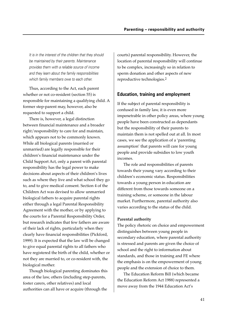It is in the interest of the children that they should be maintained by their parents. Maintenance provides them with a reliable source of income and they learn about the family responsibilities which family members owe to each other.

Thus, according to the Act, each parent whether or not co-resident (section 55) is responsible for maintaining a qualifying child. A former step-parent may, however, also be requested to support a child.

There is, however, a legal distinction between financial maintenance and a broader right/responsibility to care for and maintain, which appears not to be commonly known. While all biological parents (married or unmarried) are legally responsible for their children's financial maintenance under the Child Support Act, only a parent with parental responsibility has the legal power to make decisions about aspects of their children's lives such as where they live and what school they go to, and to give medical consent. Section 4 of the Children Act was devised to allow unmarried biological fathers to acquire parental rights either through a legal Parental Responsibility Agreement with the mother, or by applying to the courts for a Parental Responsibility Order, but research indicates that few fathers are aware of their lack of rights, particularly when they clearly have financial responsibilities (Pickford, 1999). It is expected that the law will be changed to give equal parental rights to all fathers who have registered the birth of the child, whether or not they are married to, or co-resident with, the biological mother.

Though biological parenting dominates this area of the law, others (including step-parents, foster carers, other relatives) and local authorities can all have or acquire (through the

courts) parental responsibility. However, the location of parental responsibility will continue to be complex, increasingly so in relation to sperm donation and other aspects of new reproductive technologies.2

## **Education, training and employment**

If the subject of parental responsibility is confused in family law, it is even more impenetrable in other policy areas, where young people have been constructed as dependants but the responsibility of their parents to maintain them is not spelled out at all. In most cases, we see the application of a 'parenting assumption' that parents will care for young people and provide subsidies to low youth incomes.

The role and responsibilities of parents towards their young vary according to their children's economic status. Responsibilities towards a young person in education are different from those towards someone on a training scheme, or someone in the labour market. Furthermore, parental authority also varies according to the status of the child.

#### **Parental authority**

The policy rhetoric on choice and empowerment distinguishes between young people in secondary education, where parental authority is stressed and parents are given the choice of school and the right to information about standards, and those in training and FE where the emphasis is on the empowerment of young people and the extension of choice to them.

The Education Reform Bill (which became the Education Reform Act 1988) represented a move away from the 1944 Education Act's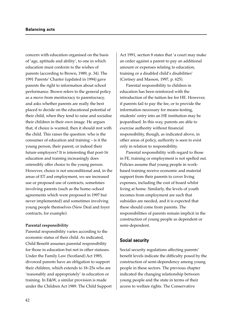concern with education organised on the basis of 'age, aptitude and ability', to one in which education must conform to the wishes of parents (according to Brown, 1989, p. 34). The 1991 Parents' Charter (updated in 1994) gave parents the right to information about school performance. Brown refers to the general policy as a move from meritocracy to parentocracy, and asks whether parents are really the best placed to decide on the educational potential of their child, when they tend to raise and socialise their children in their own image. He argues that, if choice is wanted, then it should rest with the child. This raises the question: who is the consumer of education and training – is it the young person, their parent, or indeed their future employers? It is interesting that post-16 education and training increasingly does ostensibly offer choice to the young person. However, choice is not unconditional and, in the areas of ET and employment, we see increased use or proposed use of contracts, sometimes involving parents (such as the home–school agreements which were proposed in 1997 but never implemented) and sometimes involving young people themselves (New Deal and foyer contracts, for example).

#### **Parental responsibility**

Parental responsibility varies according to the economic status of their child. As indicated, Child Benefit assumes parental responsibility for those in education but not in other statuses. Under the Family Law (Scotland) Act 1985, divorced parents have an obligation to support their children, which extends to 18–25s who are 'reasonably and appropriately' in education or training. In E&W, a similar provision is made under the Children Act 1989. The Child Support

Act 1991, section 8 states that 'a court may make an order against a parent to pay an additional amount or expenses relating to education, training or a disabled child's disabilities' (Cretney and Masson, 1997, p. 625).

Parental responsibility to children in education has been reinforced with the introduction of the tuition fee for HE. However, if parents fail to pay the fee, or to provide the information necessary for means-testing, students' entry into an HE institution may be jeopardised. In this way, parents are able to exercise authority without financial responsibility, though, as indicated above, in other areas of policy, authority is seen to exist only in relation to responsibility.

Parental responsibility with regard to those in FE, training or employment is not spelled out. Policies assume that young people in workbased training receive economic and material support from their parents to cover living expenses, including the cost of board whilst living at home. Similarly, the levels of youth incomes from employment are such that subsidies are needed, and it is expected that these should come from parents. The responsibilities of parents remain implicit in the construction of young people as dependent or semi-dependent.

## **Social security**

Social security regulations affecting parents' benefit levels indicate the difficulty posed by the construction of semi-dependency among young people in these sectors. The previous chapter indicated the changing relationship between young people and the state in terms of their access to welfare rights. The Conservative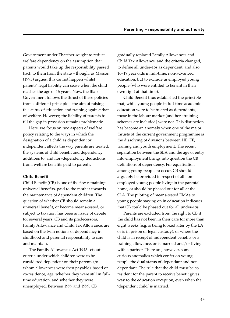Government under Thatcher sought to reduce welfare dependency on the assumption that parents would take up the responsibility passed back to them from the state – though, as Masson (1995) argues, this cannot happen whilst parents' legal liability can cease when the child reaches the age of 16 years. Now, the Blair Government follows the thrust of these policies from a different principle – the aim of raising the status of education and training against that of welfare. However, the liability of parents to fill the gap in provision remains problematic.

Here, we focus on two aspects of welfare policy relating to the ways in which the designation of a child as dependent or independent affects the way parents are treated: the systems of child benefit and dependency additions to, and non-dependency deductions from, welfare benefits paid to parents.

#### **Child Benefit**

Child Benefit (CB) is one of the few remaining universal benefits, paid to the mother towards the maintenance of dependent children. The question of whether CB should remain a universal benefit, or become means-tested, or subject to taxation, has been an issue of debate for several years. CB and its predecessors, Family Allowance and Child Tax Allowance, are based on the twin notions of dependency in childhood and parental responsibility to care and maintain.

The Family Allowances Act 1945 set out criteria under which children were to be considered dependent on their parents (to whom allowances were then payable), based on co-residence, age, whether they were still in fulltime education, and whether they were unemployed. Between 1977 and 1979, CB

gradually replaced Family Allowances and Child Tax Allowance, and the criteria changed, to define all under-16s as dependent, and also 16–19 year olds in full-time, non-advanced education, but to exclude unemployed young people (who were entitled to benefit in their own right at that time).

Child Benefit thus established the principle that, while young people in full-time academic education were to be treated as dependants, those in the labour market (and here training schemes are included) were not. This distinction has become an anomaly when one of the major thrusts of the current government programme is the dissolving of divisions between HE, FE, training and youth employment. The recent separation between the SLA and the age of entry into employment brings into question the CB definitions of dependency. For equalisation among young people to occur, CB should arguably be provided in respect of all nonemployed young people living in the parental home, or should be phased out for all at the SLA. The piloting of means-tested EMAs to young people staying on in education indicates that CB could be phased out for all under-18s.

Parents are excluded from the right to CB if the child has not been in their care for more than eight weeks (e.g. is being looked after by the LA or is in prison or legal custody), or where the child is in receipt of independent benefits or a training allowance, or is married and/or living with a partner. There are, however, some curious anomalies which confer on young people the dual status of dependant and nondependant. The rule that the child must be coresident for the parent to receive benefit gives way to the education exception, even when the 'dependent child' is married.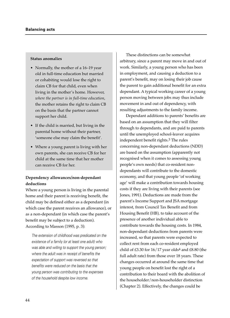#### **Status anomalies**

- Normally, the mother of a 16–19 year old in full-time education but married or cohabiting would lose the right to claim CB for that child, even when living in the mother's home. However, *where the partner is in full-time education*, the mother retains the right to claim CB on the basis that the partner cannot support her child.
- If the child is married, but living in the parental home without their partner, 'someone else may claim the benefit'.
- Where a young parent is living with her own parents, she can receive CB for her child at the same time that her mother can receive CB for her.

## **Dependency allowances/non-dependant deductions**

Where a young person is living in the parental home and their parent is receiving benefit, the child may be defined either as a dependant (in which case the parent receives an allowance), or as a non-dependant (in which case the parent's benefit may be subject to a deduction). According to Masson (1995, p. 3):

The extension of childhood was predicated on the existence of a family (or at least one adult) who was able and willing to support the young person; where the adult was in receipt of benefits the expectation of support was reversed so that benefits were reduced on the basis that the young person was contributing to the expenses of the household despite low income.

These distinctions can be somewhat arbitrary, since a parent may move in and out of work. Similarly, a young person who has been in employment, and causing a deduction to a parent's benefit, may on losing their job cause the parent to gain additional benefit for an extra dependant. A typical working career of a young person moving between jobs may thus include movement in and out of dependency, with resulting adjustments to the family income.

Dependant additions to parents' benefits are based on an assumption that they will filter through to dependants, and are paid to parents until the unemployed school-leaver acquires independent benefit rights.3 The rules concerning non-dependant deductions (NDD) are based on the assumption (apparently not recognised when it comes to assessing young people's own needs) that co-resident nondependants will contribute to the domestic economy, and that young people 'of working age' will make a contribution towards housing costs if they are living with their parents (see Jones, 1991). Deductions are made from the parent's Income Support and JSA mortgage interest, from Council Tax Benefit and from Housing Benefit (HB), to take account of the presence of another individual able to contribute towards the housing costs. In 1984, non-dependant deductions from parents were increased, so that parents were expected to collect rent from each co-resident employed child of £3.30 for  $16/17$  year olds<sup>4</sup> and £8.80 (the full adult rate) from those over 18 years. These changes occurred at around the same time that young people on benefit lost the right of a contribution to their board with the abolition of the householder/non-householder distinction (Chapter 2). Effectively, the changes could be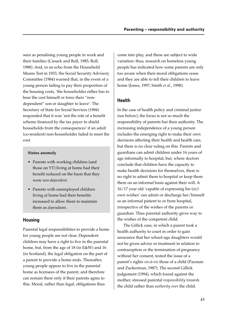seen as penalising young people in work and their families (Cusack and Roll, 1985; Roll, 1988). And, in an echo from the Household Means Test in 1933, the Social Security Advisory Committee (1984) warned that, in the event of a young person failing to pay their proportion of the housing costs, 'the householder either has to bear the cost himself or force their "nondependent" son or daughter to leave'. The Secretary of State for Social Services (1984) responded that it was 'not the role of a benefit scheme financed by the tax payer to shield households from the consequences' if an adult (co-resident) non-householder failed to meet the cost.

#### **Status anomaly**

- Parents with working children (and those on YT) living at home had their benefit reduced on the basis that they were *non-dependent*.
- Parents with unemployed children living at home had their benefits increased to allow them to maintain them as *dependants*.

## **Housing**

Parental legal responsibilities to provide a home for young people are not clear. Dependent children may have a right to live in the parental home, but, from the age of 18 (in E&W) and 16 (in Scotland), the legal obligation on the part of a parent to provide a home ends. Thereafter, young people appear to live in the parental home as licensees of the parent, and therefore can remain there only if their parents agree to this. Moral, rather than legal, obligations thus

come into play, and these are subject to wide variation: thus, research on homeless young people has indicated how some parents are only too aware when their moral obligations cease and they are able to tell their children to leave home (Jones, 1997; Smith *et al*., 1998).

## **Health**

In the case of health policy and criminal justice (see below), the focus is not so much the responsibility of parents but their authority. The increasing independence of a young person includes the emerging right to make their own decisions affecting their health and health care, but there is no clear ruling on this. Parents and guardians can admit children under 16 years of age informally to hospital, but, where doctors conclude that children have the capacity to make health decisions for themselves, there is no right to admit them to hospital or keep them there on an informal basis against their will. A 16/17 year old 'capable of expressing his (*sic*) own wishes' can admit or discharge her/himself as an informal patient to or from hospital, irrespective of the wishes of the parents or guardian. Thus parental authority gives way to the wishes of the competent child.

The Gillick case, in which a parent took a health authority to court in order to gain assurance that her school-age daughters would not be given advice or treatment in relation to contraception or the termination of pregnancy without her consent, tested the issue of a parent's rights *vis-à-vis* those of a child (Paxman and Zuckerman, 1987). The second Gillick judgement (1994), which found against the mother, stressed parental *responsibility towards* the child rather than *authority over* the child.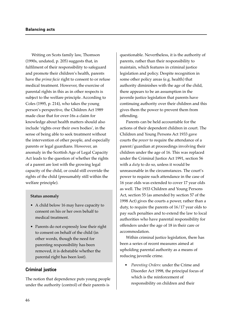Writing on Scots family law, Thomson (1990s, undated, p. 205) suggests that, in fulfilment of their responsibility to safeguard and promote their children's health, parents have the *prima facie* right to consent to or refuse medical treatment. However, the exercise of parental rights in this as in other respects is subject to the welfare principle. According to Coles (1995, p. 214), who takes the young person's perspective, the Children Act 1989 made clear that for over-16s a claim for knowledge about health matters should also include 'rights over their own bodies', in the sense of being able to seek treatment without the intervention of other people, and especially parents or legal guardians. However, an anomaly in the Scottish Age of Legal Capacity Act leads to the question of whether the rights of a parent are lost with the growing legal capacity of the child, or could still override the rights of the child (presumably still within the welfare principle).

#### **Status anomaly**

- A child below 16 may have capacity to consent on his or her own behalf to medical treatment.
- Parents do not expressly lose their right to consent on behalf of the child (in other words, though the need for parenting responsibility has been removed, it is debatable whether the parental right has been lost).

## **Criminal justice**

The notion that dependence puts young people under the authority (control) of their parents is

questionable. Nevertheless, it is the authority of parents, rather than their responsibility to maintain, which features in criminal justice legislation and policy. Despite recognition in some other policy areas (e.g. health) that authority diminishes with the age of the child, there appears to be an assumption in the juvenile justice legislation that parents have continuing authority over their children and this gives them the power to prevent them from offending.

Parents can be held accountable for the actions of their dependent children in court. The Children and Young Persons Act 1933 gave courts the *power* to require the attendance of a parent/guardian at proceedings involving their children under the age of 16. This was replaced under the Criminal Justice Act 1991, section 56 with a *duty* to do so, unless it would be unreasonable in the circumstances. The court's power to require such attendance in the case of 16 year olds was extended to cover 17 year olds as well. The 1933 Children and Young Persons Act, section 55 (as amended by section 57 of the 1998 Act) gives the courts a power, rather than a duty, to require the parents of 16/17 year olds to pay such penalties and to extend the law to local authorities who have parental responsibility for offenders under the age of 18 in their care or accommodation.

Within criminal justice legislation, there has been a series of recent measures aimed at upholding parental authority as a means of reducing juvenile crime.

• *Parenting Orders*: under the Crime and Disorder Act 1998, the principal focus of which is the reinforcement of responsibility on children and their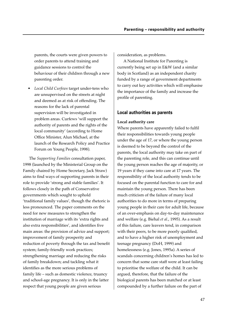parents, the courts were given powers to order parents to attend training and guidance sessions to control the behaviour of their children through a new parenting order.

• *Local Child Curfews* target under-tens who are unsupervised on the streets at night and deemed as at risk of offending. The reasons for the lack of parental supervision will be investigated in problem areas. Curfews 'will support the authority of parents and the rights of the local community' (according to Home Office Minister, Alun Michael, at the launch of the Research Policy and Practice Forum on Young People, 1998).

The *Supporting Families* consultation paper, 1998 (launched by the Ministerial Group on the Family chaired by Home Secretary, Jack Straw) aims to find ways of supporting parents in their role to provide 'strong and stable families'. It follows closely in the path of Conservative governments which sought to uphold 'traditional family values', though the rhetoric is less pronounced. The paper comments on the need for new measures to strengthen the institution of marriage with its 'extra rights and also extra responsibilities', and identifies five main areas: the provision of advice and support; improvement of family prosperity and reduction of poverty through the tax and benefit system; family-friendly work practices; strengthening marriage and reducing the risks of family breakdown; and tackling what it identifies as the more serious problems of family life – such as domestic violence, truancy and school-age pregnancy. It is only in the latter respect that young people are given serious

consideration, as problems.

A National Institute for Parenting is currently being set up in E&W (and a similar body in Scotland) as an independent charity funded by a range of government departments to carry out key activities which will emphasise the importance of the family and increase the profile of parenting.

## **Local authorities as parents**

## **Local authority care**

Where parents have apparently failed to fulfil their responsibilities towards young people under the age of 17, or where the young person is deemed to be beyond the control of the parents, the local authority may take on part of the parenting role, and this can continue until the young person reaches the age of majority, or 19 years if they came into care at 17 years. The responsibility of the local authority tends to be focused on the parental function to care for and maintain the young person. There has been much criticism of the failure of many local authorities to do more in terms of preparing young people in their care for adult life, because of an over-emphasis on day-to-day maintenance and welfare (e.g. Biehal *et al*., 1995). As a result of this failure, care leavers tend, in comparison with their peers, to be more poorly qualified, and to have a higher risk of unemployment and teenage pregnancy (DoH, 1999) and homelessness (e.g. Jones, 1995a). A series of scandals concerning children's homes has led to concern that some care staff were at least failing to prioritise the welfare of the child. It can be argued, therefore, that the failure of the biological parents has been matched or at least compounded by a further failure on the part of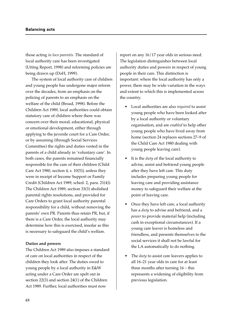those acting *in loco parentis.* The standard of local authority care has been investigated (Utting Report, 1998) and reforming policies are being drawn up (DoH, 1999).

The system of local authority care of children and young people has undergone major reform over the decades, from an emphasis on the policing of parents to an emphasis on the welfare of the child (Broad, 1998). Before the Children Act 1989, local authorities could obtain statutory care of children where there was concern over their moral, educational, physical or emotional development, either through applying to the juvenile court for a Care Order, or by assuming (through Social Services Committee) the rights and duties vested in the parents of a child already in 'voluntary care'. In both cases, the parents remained financially responsible for the care of their children (Child Care Act 1980, section 4, s. 10(5)), unless they were in receipt of Income Support or Family Credit (Children Act 1989, sched. 2, para. 21(4)). The Children Act 1989, section 33(3) abolished parental rights resolutions, and provided for Care Orders to grant local authority parental responsibility for a child, without removing the parents' own PR. Parents thus retain PR, but, if there is a Care Order, the local authority may determine how this is exercised, insofar as this is necessary to safeguard the child's welfare.

#### **Duties and powers**

The Children Act 1989 also imposes a standard of care on local authorities in respect of the children they look after. The duties owed to young people by a local authority in E&W acting under a Care Order are spelt out in section 22(3) and section 24(1) of the Children Act 1989. Further, local authorities must now

report on any 16/17 year olds in serious need. The legislation distinguishes between local authority duties and powers in respect of young people in their care. This distinction is important: where the local authority has only a power, there may be wide variation in the ways and extent to which this is implemented across the country.

- Local authorities are also *required* to assist young people who have been looked after by a local authority or voluntary organisation, and are *enabled* to help other young people who have lived away from home (section 24 replaces sections 27–9 of the Child Care Act 1980 dealing with young people leaving care).
- It is the *duty* of the local authority to advise, assist and befriend young people after they have left care. This duty includes preparing young people for leaving care and providing assistance money to safeguard their welfare at the point of leaving care.
- Once they have left care, a local authority has a *duty* to advise and befriend, and a *power* to provide material help (including cash in exceptional circumstances). If a young care leaver is homeless and friendless, and presents themselves to the social services it shall not be lawful for the LA automatically to do nothing.
- The *duty* to assist care leavers applies to all 16–21 year olds in care for at least three months after turning 16 – this represents a widening of eligibility from previous legislation.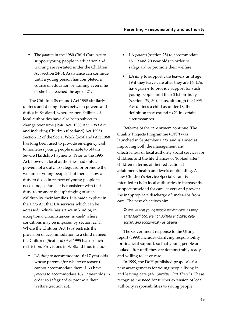• The *powers* in the 1980 Child Care Act to support young people in education and training are re-stated under the Children Act section 24(8). Assistance can continue until a young person has completed a course of education or training even if he or she has reached the age of 21.

The Children (Scotland) Act 1995 similarly defines and distinguishes between powers and duties in Scotland, where responsibilities of local authorities have also been subject to change over time (1948 Act, 1980 Act, 1989 Act and including Children (Scotland) Act 1995). Section 12 of the Social Work (Scotland) Act 1968 has long been used to provide emergency cash to homeless young people unable to obtain Severe Hardship Payments. Prior to the 1995 Act, however, local authorities had only a power, not a duty, to safeguard or promote the welfare of young people,<sup>5</sup> but there is now a duty to do so in respect of young people in need; and, so far as it is consistent with that duty, to promote the upbringing of such children by their families. It is made explicit in the 1995 Act that LA services which can be accessed include 'assistance in kind or, in exceptional circumstances, in cash' where conditions may be imposed by section 22(4). Where the Children Act 1989 restricts the provision of accommodation to a child in need, the Children (Scotland) Act 1995 has no such restriction. Provisions in Scotland thus include:

• LA *duty* to accommodate 16/17 year olds whose parents (for whatever reason) cannot accommodate them. LAs have *powers* to accommodate 16/17 year olds in order to safeguard or promote their welfare (section 25).

- LA *powers* (section 25) to accommodate 18, 19 and 20 year olds in order to safeguard or promote their welfare.
- LA *duty* to support care leavers until age 19 if they leave care after they are 16. LAs have *powers* to provide support for such young people until their 21st birthday (sections 29, 30). Thus, although the 1995 Act defines a child as under 18, the definition may extend to 21 in certain circumstances.

Reforms of the care system continue. The Quality Projects Programme (QPP) was launched in September 1998, and is aimed at improving both the management and effectiveness of local authority social services for children, and the life chances of 'looked after' children in terms of their educational attainment, health and levels of offending. A new Children's Service Special Grant is intended to help local authorities to increase the support provided for care leavers and prevent the inappropriate discharge of under-18s from care. The new objectives aim:

To ensure that young people leaving care, as they enter adulthood, are not isolated and participate socially and economically as citizens.

The Government response to the Utting report (1998) includes clarifying responsibility for financial support, so that young people are looked after until they are demonstrably ready and willing to leave care.

In 1999, the DoH published proposals for new arrangements for young people living in and leaving care (*Me, Survive, Out There?*). These recognise the need for further extension of local authority responsibilities to young people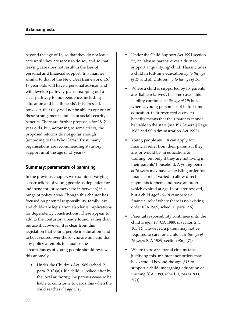beyond the age of 16, so that they do not leave care until 'they are ready to do so', and so that leaving care does not result in the loss of personal and financial support. In a manner similar to that of the New Deal framework, 16/ 17 year olds will have a personal advisor, and will develop pathway plans 'mapping out a clear pathway to independence, including education and health needs'. It is stressed, however, that they will not be able to opt out of these arrangements and claim social security benefits. There are further proposals for 18–21 year olds, but, according to some critics, the proposed reforms do not go far enough (according to the Who Cares? Trust, many organisations are recommending statutory support until the age of 21 years).

## **Summary: parameters of parenting**

In the previous chapter, we examined varying constructions of young people as dependent or independent (or somewhere in between) in a range of policy areas. Though this chapter has focused on parental responsibility, family law and child-care legislation also have implications for dependency constructions. These appear to add to the confusion already found, rather than reduce it. However, it is clear from this legislation that young people in education tend to be favoured over those who are not, and that any policy attempts to equalise the circumstances of young people should review this anomaly.

• Under the Children Act 1989 (sched. 2, para.  $21(3)(a)$ , if a child is looked after by the local authority, the parents cease to be liable to contribute towards this when the child reaches *the age of 16*.

- Under the Child Support Act 1991 section 55, an 'absent parent' owes a duty to support a 'qualifying' child. This includes a child in full-time education *up to the age of 19* and all children *up to the age of 16*.
- Where a child is supported by IS, parents are 'liable relatives'. In some cases, this liability continues *to the age of 19*; but, where a young person is not in full-time education, their restricted access to benefits means that their parents cannot be liable to the state (see IS (General) Regs 1987 and SS Administration Act 1992).
- Young people *over 18* can apply for financial relief from their parents if they are, or would be, in education, or training, but only if they are not living in their parents' household. A young person *of 16 years* may have an existing order for financial relief varied to allow direct payments to them, and have an order which expired at age 16 or later revived, but a child *aged 16–18* cannot seek financial relief where there is no existing order (CA 1989, sched. 1, para. 2.6).
- Parental responsibility continues until the child is *aged 18* (CA 1989, s. section 2, 3, 105(1)). However, a parent may not be required to care for a child *over the age of 16 years* (CA 1989, section 9(6), (7)).
- Where there are special circumstances justifying this, maintenance orders may be extended beyond the *age of 18* to support a child undergoing education or training (CA 1989, sched. 1, paras 2(1), 3(2)).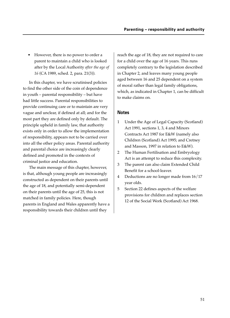• However, there is no power to order a parent to maintain a child who is looked after by the Local Authority *after the age of 16* (CA 1989, sched. 2, para. 21(3)).

In this chapter, we have scrutinised policies to find the other side of the coin of dependence in youth – parental responsibility – but have had little success. Parental responsibilities to provide continuing care or to maintain are very vague and unclear, if defined at all; and for the most part they are defined only by default. The principle upheld in family law, that authority exists only in order to allow the implementation of responsibility, appears not to be carried over into all the other policy areas. Parental authority and parental choice are increasingly clearly defined and promoted in the contexts of criminal justice and education.

The main message of this chapter, however, is that, although young people are increasingly constructed as dependent on their parents until the age of 18, and potentially semi-dependent on their parents until the age of 25, this is not matched in family policies. Here, though parents in England and Wales apparently have a responsibility towards their children until they

reach the age of 18, they are not required to care for a child over the age of 16 years. This runs completely contrary to the legislation described in Chapter 2, and leaves many young people aged between 16 and 25 dependent on a system of moral rather than legal family obligations, which, as indicated in Chapter 1, can be difficult to make claims on.

## **Notes**

- 1 Under the Age of Legal Capacity (Scotland) Act 1991, sections 1, 3, 4 and Minors Contracts Act 1987 for E&W (namely also Children (Scotland) Act 1995; and Cretney and Masson, 1997 in relation to E&W).
- 2 The Human Fertilisation and Embryology Act is an attempt to reduce this complexity.
- 3 The parent can also claim Extended Child Benefit for a school-leaver.
- 4 Deductions are no longer made from 16/17 year olds.
- 5 Section 22 defines aspects of the welfare provisions for children and replaces section 12 of the Social Work (Scotland) Act 1968.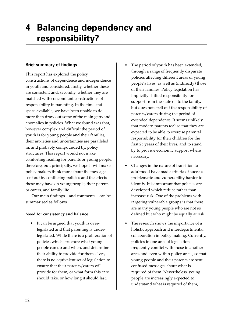# **4 Balancing dependency and responsibility?**

## **Brief summary of findings**

This report has explored the policy constructions of dependence and independence in youth and considered, firstly, whether these are consistent and, secondly, whether they are matched with concomitant constructions of responsibility in parenting. In the time and space available, we have been unable to do more than draw out some of the main gaps and anomalies in policies. What we found was that, however complex and difficult the period of youth is for young people and their families, their anxieties and uncertainties are paralleled in, and probably compounded by, policy structures. This report would not make comforting reading for parents or young people, therefore, but, principally, we hope it will make policy makers think more about the messages sent out by conflicting policies and the effects these may have on young people, their parents or carers, and family life.

Our main findings – and comments – can be summarised as follows.

#### **Need for consistency and balance**

It can be argued that youth is overlegislated and that parenting is underlegislated. While there is a proliferation of policies which structure what young people can do and when, and determine their ability to provide for themselves, there is no equivalent set of legislation to ensure that their parents/carers will provide for them, or what form this care should take, or how long it should last.

- The period of youth has been extended, through a range of frequently disparate policies affecting different areas of young people's lives, as well as (indirectly) those of their families. Policy legislation has implicitly shifted responsibility for support from the state on to the family, but does not spell out the responsibility of parents/carers during the period of extended dependence. It seems unlikely that modern parents realise that they are expected to be able to exercise parental responsibility for their children for the first 25 years of their lives, and to stand by to provide economic support where necessary.
- Changes in the nature of transition to adulthood have made criteria of success problematic and vulnerability harder to identify. It is important that policies are developed which reduce rather than increase risk. One of the problems with targeting vulnerable groups is that there are many young people who are not so defined but who might be equally at risk.
- The research shows the importance of a holistic approach and interdepartmental collaboration in policy making. Currently, policies in one area of legislation frequently conflict with those in another area, and even within policy areas, so that young people and their parents are sent confused messages about what is required of them. Nevertheless, young people are increasingly expected to understand what is required of them,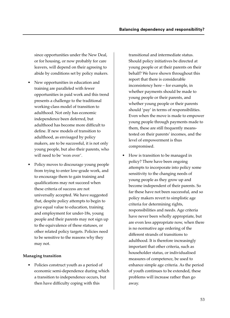since opportunities under the New Deal, or for housing, or now probably for care leavers, will depend on their agreeing to abide by conditions set by policy makers.

- New opportunities in education and training are paralleled with fewer opportunities in paid work and this trend presents a challenge to the traditional working-class model of transition to adulthood. Not only has economic independence been deferred, but adulthood has become more difficult to define. If new models of transition to adulthood, as envisaged by policy makers, are to be successful, it is not only young people, but also their parents, who will need to be 'won over'.
- Policy moves to discourage young people from trying to enter low-grade work, and to encourage them to gain training and qualifications may not succeed when these criteria of success are not universally accepted. We have suggested that, despite policy attempts to begin to give equal value to education, training and employment for under-18s, young people and their parents may not sign up to the equivalence of these statuses, or other related policy targets. Policies need to be sensitive to the reasons why they may not.

#### **Managing transition**

• Policies construct youth as a period of economic semi-dependence during which a transition to independence occurs, but then have difficulty coping with this

transitional and intermediate status. Should policy initiatives be directed at young people or at their parents on their behalf? We have shown throughout this report that there is considerable inconsistency here – for example, in whether payments should be made to young people or their parents, and whether young people or their parents should 'pay' in terms of responsibilities. Even when the move is made to empower young people through payments made to them, these are still frequently meanstested on their parents' incomes, and the level of empowerment is thus compromised.

• How is transition to be managed in policy? There have been ongoing attempts to incorporate into policy some sensitivity to the changing needs of young people as they grow up and become independent of their parents. So far these have not been successful, and so policy makers revert to simplistic age criteria for determining rights, responsibilities and needs. Age criteria have never been wholly appropriate, but are even less appropriate now, when there is no normative age ordering of the different strands of transitions to adulthood. It is therefore increasingly important that other criteria, such as householder status, or individualised measures of competence, be used to enhance simple age criteria. As the period of youth continues to be extended, these problems will increase rather than go away.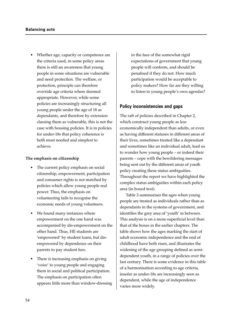• Whether age, capacity or competence are the criteria used, in some policy areas there is still an awareness that young people in some situations are vulnerable and need protection. The welfare, or protection, principle can therefore override age criteria where deemed appropriate. However, while some policies are increasingly structuring all young people under the age of 18 as dependants, and therefore by extension classing them as vulnerable, this is not the case with housing policies. It is in policies for under-18s that policy coherence is both most needed and simplest to achieve.

## **The emphasis on citizenship**

- The current policy emphasis on social citizenship, empowerment, participation and consumer rights is not matched by policies which allow young people real power. Thus, the emphasis on volunteering fails to recognise the economic needs of young volunteers.
- We found many instances where empowerment on the one hand was accompanied by dis-empowerment on the other hand. Thus, HE students are 'empowered' by student loans, but disempowered by dependence on their parents to pay student fees.
- There is increasing emphasis on giving 'voice' to young people and engaging them in social and political participation. The emphasis on participation often appears little more than window-dressing

in the face of the somewhat rigid expectations of government that young people will conform, and should be penalised if they do not. How much participation would be acceptable to policy makers? How far are they willing to listen to young people's own agendas?

## **Policy inconsistencies and gaps**

The raft of policies described in Chapter 2, which construct young people as less economically independent than adults, or even as having different statuses in different areas of their lives, sometimes treated like a dependant and sometimes like an individual adult, lead us to wonder how young people – or indeed their parents – cope with the bewildering messages being sent out by the different areas of youth policy creating these status ambiguities. Throughout the report we have highlighted the complex status ambiguities within each policy area (in boxed text).

Table 3 summarises the ages when young people are treated as individuals rather than as dependants in the systems of government, and identifies the grey area of 'youth' in between. This analysis is on a more superficial level than that of the boxes in the earlier chapters. The table shows how the ages marking the start of adult economic independence and the end of childhood have both risen, and illustrates the widening of the age grouping defined as semidependent youth, in a range of policies over the last century. There is some evidence in this table of a harmonisation according to age criteria, insofar as under-18s are increasingly seen as dependent, while the age of independence varies more widely.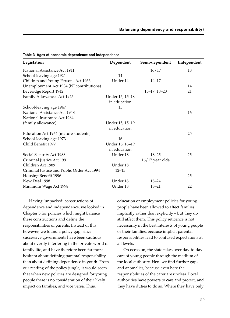| Legislation                                | Dependent                       | Semi-dependent     | Independent |
|--------------------------------------------|---------------------------------|--------------------|-------------|
| National Assistance Act 1911               |                                 | 16/17              | 18          |
| School-leaving age 1921                    | 14                              |                    |             |
| Children and Young Persons Act 1933        | Under 14                        | $14 - 17$          |             |
| Unemployment Act 1934 (NI contributions)   |                                 |                    | 14          |
| Beveridge Report 1942                      |                                 | $15 - 17, 18 - 20$ | 21          |
| Family Allowances Act 1945                 | Under 15, 15-18<br>in education |                    |             |
| School-leaving age 1947                    | 15                              |                    |             |
| National Assistance Act 1948               |                                 |                    | 16          |
| National Insurance Act 1964                |                                 |                    |             |
| (family allowance)                         | Under 15, 15-19                 |                    |             |
|                                            | in education                    |                    |             |
| Education Act 1964 (mature students)       |                                 |                    | 25          |
| School-leaving age 1973                    | 16                              |                    |             |
| Child Benefit 1977                         | Under 16, 16-19                 |                    |             |
|                                            | in education                    |                    |             |
| Social Security Act 1988                   | Under 18                        | $18 - 25$          | 25          |
| Criminal Justice Act 1991                  |                                 | $16/17$ year olds  |             |
| Children Act 1989                          | Under 18                        |                    |             |
| Criminal Justice and Public Order Act 1994 | $12 - 15$                       |                    |             |
| Housing Benefit 1996                       |                                 |                    | 25          |
| New Deal 1998                              | Under 18                        | $18 - 24$          |             |
| Minimum Wage Act 1998                      | Under 18                        | $18 - 21$          | 22          |

#### **Table 3 Ages of economic dependence and independence**

Having 'unpacked' constructions of dependence and independence, we looked in Chapter 3 for policies which might balance these constructions and define the responsibilities of parents. Instead of this, however, we found a policy gap, since successive governments have been cautious about overtly interfering in the private world of family life, and have therefore been far more hesitant about defining parental responsibility than about defining dependence in youth. From our reading of the policy jungle, it would seem that when new policies are designed for young people there is no consideration of their likely impact on families, and vice versa. Thus,

education or employment policies for young people have been allowed to affect families implicitly rather than explicitly – but they do still affect them. This policy reticence is not necessarily in the best interests of young people or their families, because implicit parental responsibilities lead to confused expectations at all levels.

On occasion, the state takes over day-to-day care of young people through the medium of the local authority. Here we find further gaps and anomalies, because even here the responsibilities of the carer are unclear. Local authorities have powers to care and protect, and they have duties to do so. Where they have only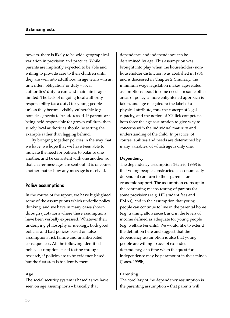powers, there is likely to be wide geographical variation in provision and practice. While parents are implicitly expected to be able and willing to provide care to their children until they are well into adulthood in age terms – in an unwritten 'obligation' or duty – local authorities' duty to care and maintain is agelimited. The lack of ongoing local authority responsibility (as a duty) for young people unless they become visibly vulnerable (e.g. homeless) needs to be addressed. If parents are being held responsible for grown children, then surely local authorities should be setting the example rather than lagging behind.

By bringing together policies in the way that we have, we hope that we have been able to indicate the need for policies to balance one another, and be consistent with one another, so that clearer messages are sent out. It is of course another matter how any message is received.

## **Policy assumptions**

In the course of the report, we have highlighted some of the assumptions which underlie policy thinking, and we have in many cases shown through quotations where these assumptions have been verbally expressed. Whatever their underlying philosophy or ideology, both good policies and bad policies based on false assumptions risk failure and unanticipated consequences. All the following identified policy assumptions need testing through research, if policies are to be evidence-based, but the first step is to identify them.

#### **Age**

The social security system is based as we have seen on age assumptions – basically that

dependence and independence can be determined by age. This assumption was brought into play when the householder/nonhouseholder distinction was abolished in 1984, and is discussed in Chapter 2. Similarly, the minimum wage legislation makes age-related assumptions about income needs. In some other areas of policy, a more enlightened approach is taken, and age relegated to the label of a physical attribute, thus the concept of legal capacity, and the notion of 'Gillick competence' both force the age assumption to give way to concerns with the individual maturity and understanding of the child. In practice, of course, abilities and needs are determined by many variables, of which age is only one.

## **Dependency**

The dependency assumption (Harris, 1989) is that young people constructed as economically dependent can turn to their parents for economic support. The assumption crops up in the continuing means-testing of parents for some provisions (e.g. HE student fees and EMAs); and in the assumption that young people can continue to live in the parental home (e.g. training allowances); and in the levels of income defined as adequate for young people (e.g. welfare benefits). We would like to extend the definition here and suggest that the dependency assumption is also that young people are willing to accept extended dependency, at a time when the quest for independence may be paramount in their minds (Jones, 1995b).

#### **Parenting**

The corollary of the dependency assumption is the parenting assumption – that parents will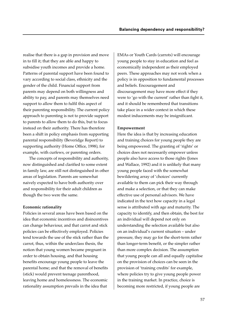realise that there is a gap in provision and move in to fill it; that they are able and happy to subsidise youth incomes and provide a home. Patterns of parental support have been found to vary according to social class, ethnicity and the gender of the child. Financial support from parents may depend on both willingness and ability to pay, and parents may themselves need support to allow them to fulfil this aspect of their parenting responsibility. The current policy approach to parenting is not to provide support to parents to allow them to do this, but to focus instead on their authority. There has therefore been a shift in policy emphasis from supporting parental responsibility (Beveridge Report) to supporting authority (Home Office, 1998), for example, with curfews, or parenting orders.

The concepts of responsibility and authority, now distinguished and clarified to some extent in family law, are still not distinguished in other areas of legislation. Parents are somewhat naively expected to have both authority over and responsibility for their adult children as though the two were the same.

#### **Economic rationality**

Policies in several areas have been based on the idea that economic incentives and disincentives can change behaviour, and that carrot and stick policies can be effectively employed. Policies tend towards the use of the stick rather than the carrot, thus, within the underclass thesis, the notion that young women became pregnant in order to obtain housing, and that housing benefits encourage young people to leave the parental home; and that the removal of benefits (stick) would prevent teenage parenthood, leaving home and homelessness. The economic rationality assumption prevails in the idea that

EMAs or Youth Cards (carrots) will encourage young people to stay in education and feel as economically independent as their employed peers. These approaches may not work when a policy is in opposition to fundamental processes and beliefs. Encouragement and discouragement may have more effect if they were to 'go with the current' rather than fight it, and it should be remembered that transitions take place in a wider context in which these modest inducements may be insignificant.

#### **Empowerment**

Here the idea is that by increasing education and training choices for young people they are being empowered. The granting of 'rights' or choices does not necessarily empower unless people also have access to those rights (Jones and Wallace, 1992) and it is unlikely that many young people faced with the somewhat bewildering array of 'choices' currently available to them can pick their way through and make a selection, or that they can make effective use of personal advisors. We have indicated in the text how capacity in a legal sense is attributed with age and maturity. The capacity to identify, and then obtain, the best for an individual will depend not only on understanding the selection available but also on an individual's current situation – under pressure, they may go for the short-term rather than longer-term benefit, or the simpler rather than more complex decision. The assumption that young people can all and equally capitalise on the provision of choices can be seen in the provision of 'training credits' for example, where policies try to give young people power in the training market. In practice, choice is becoming more restricted, if young people are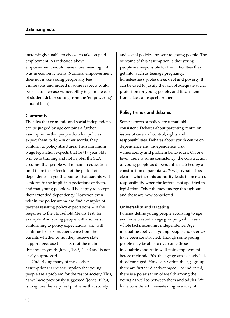increasingly unable to choose to take on paid employment. As indicated above, empowerment would have more meaning if it was in economic terms. Nominal empowerment does not make young people any less vulnerable, and indeed in some respects could be seen to increase vulnerability (e.g. in the case of student debt resulting from the 'empowering' student loan).

#### **Conformity**

The idea that economic and social independence can be judged by age contains a further assumption – that people do what policies expect them to do – in other words, they conform to policy structures. Thus minimum wage legislation expects that 16/17 year olds will be in training and not in jobs; the SLA assumes that people will remain in education until then; the extension of the period of dependence in youth assumes that parents will conform to the implicit expectations of them, and that young people will be happy to accept their extended dependency. However, even within the policy arena, we find examples of parents resisting policy expectations – in the response to the Household Means Test, for example. And young people will also resist conforming to policy expectations, and will continue to seek independence from their parents whether or not they receive state support, because this is part of the main dynamic in youth (Jones, 1996, 2000) and is not easily suppressed.

Underlying many of these other assumptions is the assumption that young people are a problem for the rest of society. This, as we have previously suggested (Jones, 1996), is to ignore the very real problems that society,

and social policies, present to young people. The outcome of this assumption is that young people are responsible for the difficulties they get into, such as teenage pregnancy, homelessness, joblessness, debt and poverty. It can be used to justify the lack of adequate social protection for young people, and it can stem from a lack of respect for them.

## **Policy trends and debates**

Some aspects of policy are remarkably consistent. Debates about parenting centre on issues of care and control, rights and responsibilities. Debates about youth centre on dependence and independence, risk, vulnerability and problem behaviours. On one level, there is some consistency: the construction of young people as dependent is matched by a construction of parental *authority*. What is less clear is whether this authority leads to increased responsibility when the latter is not specified in legislation. Other themes emerge throughout, and these are now considered.

#### **Universality and targeting**

Policies define young people according to age and have created an age grouping which as a whole lacks economic independence. Age inequalities between young people and over-25s have been constructed. Though some young people may be able to overcome these inequalities and be in well-paid employment before their mid-20s, the age group as a whole is disadvantaged. However, within the age group, there are further disadvantaged – as indicated, there is a polarisation of wealth among the young as well as between them and adults. We have considered means-testing as a way of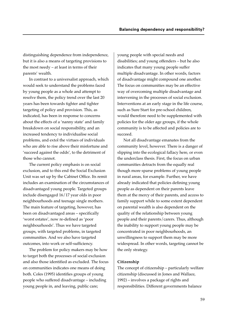distinguishing dependence from independence, but it is also a means of targeting provisions to the most needy – at least in terms of their parents' wealth.

In contrast to a universalist approach, which would seek to understand the problems faced by young people as a whole and attempt to resolve them, the policy trend over the last 20 years has been towards tighter and tighter targeting of policy and provision. This, as indicated, has been in response to concerns about the effects of a 'nanny state' and family breakdown on social responsibility, and an increased tendency to individualise social problems, and extol the virtues of individuals who are able to rise above their misfortune and 'succeed against the odds', to the detriment of those who cannot.

The current policy emphasis is on social exclusion, and to this end the Social Exclusion Unit was set up by the Cabinet Office. Its remit includes an examination of the circumstances of disadvantaged young people. Targeted groups include disengaged 16/17 year olds in poor neighbourhoods and teenage single mothers. The main feature of targeting, however, has been on disadvantaged areas – specifically 'worst estates', now re-defined as 'poor neighbourhoods'. Thus we have targeted groups, with targeted problems, in targeted communities. And we also have targeted outcomes, into work or self-sufficiency.

The problem for policy makers may be how to target both the processes of social exclusion and also those identified as excluded. The focus on communities indicates one means of doing both. Coles (1995) identifies groups of young people who suffered disadvantage – including young people in, and leaving, public care;

young people with special needs and disabilities; and young offenders – but he also indicates that many young people suffer multiple disadvantage. In other words, factors of disadvantage might compound one another. The focus on communities may be an effective way of overcoming multiple disadvantage and intervening in the processes of social exclusion. Interventions at an early stage in the life course, such as Sure Start for pre-school children, would therefore need to be supplemented with policies for the older age groups, if the whole community is to be affected and policies are to succeed.

Not all disadvantage emanates from the community level, however. There is a danger of slipping into the ecological fallacy here, or even the underclass thesis. First, the focus on urban communities detracts from the equally real though more sparse problems of young people in rural areas, for example. Further, we have already indicated that policies defining young people as dependent on their parents leave them at the mercy of their parents, and access to family support while to some extent dependent on parental wealth is also dependent on the quality of the relationship between young people and their parents/carers. Thus, although the inability to support young people may be concentrated in poor neighbourhoods, an unwillingness to support them may be more widespread. In other words, targeting cannot be the only strategy.

#### **Citizenship**

The concept of citizenship – particularly welfare citizenship (discussed in Jones and Wallace, 1992) – involves a package of rights and responsibilities. Different governments balance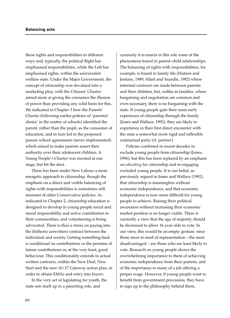these rights and responsibilities in different ways and, typically, the political Right has emphasised responsibilities, while the Left has emphasised rights, within the universalist welfare state. Under the Major Government, the concept of citizenship was devalued into a marketing ploy, with the Citizens' Charter aimed more at giving the consumer the illusion of power than providing any solid basis for this. We indicated in Chapter 3 how the Parents' Charter (following earlier policies of 'parental choice' in the matter of schools) identified the parent, rather than the pupil, as the consumer of education, and in turn led to the proposed parent–school agreements (never implemented) which aimed to make parents assert their authority over their adolescent children. A Young People's Charter was mooted at one stage, but bit the dust.

There has been under New Labour a more energetic approach to citizenship, though the emphasis on a direct and visible balancing of rights with responsibilities is sometimes still resonant of older Conservative policies. As indicated in Chapter 2, citizenship education is designed to develop in young people social and moral responsibility and active contribution to their communities, and volunteering is being advocated. There is thus a stress on paying into the (hitherto unwritten) contract between the individual and society. Getting something back is conditional on contributions or the promise of future contributions or, at the very least, good behaviour. This conditionality extends to actual written contracts, within the New Deal, New Start and the new 16/17 Gateway action plan, in order to obtain EMAs and entry into foyers.

In the very act of legislating for youth, the state sets itself up in a parenting role, and

curiously it re-enacts in this role some of the phenomena found in parent–child relationships. The balancing of rights with responsibilities, for example, is found in family life (Hutson and Jenkins, 1989; Allatt and Yeandle, 1992) where informal contracts are made between parents and their children, but, unlike in families, where bargaining and negotiation are common and even necessary, there is no bargaining with the state. If young people gain their main early experience of citizenship through the family (Jones and Wallace, 1992), they are likely to experience in their first direct encounter with the state a somewhat more rigid and inflexible contractual party (cf. partner).

Policies combined in recent decades to exclude young people from citizenship (Jones, 1996), but this has been replaced by an emphasis on *educating* for citizenship and re-engaging excluded young people. It is our belief, as previously argued in Jones and Wallace (1992), that citizenship is meaningless without economic independence, and that economic independence is now more difficult for young people to achieve. Raising their political awareness without increasing their economic market position is no longer viable. There is currently a view that the age of majority should be decreased to allow 16 year olds to vote. In our view, this would be an empty gesture, since those most in need of representation – the most disadvantaged – are those who are least likely to vote. Research on young people shows the overwhelming importance to them of achieving economic independence from their parents, and of the importance to many of a job offering a proper wage. However, if young people want to benefit from government provisions, they have to sign up to the philosophy behind them,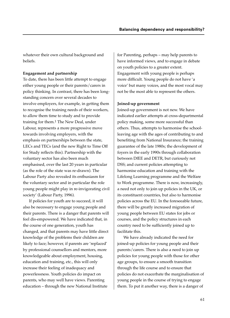whatever their own cultural background and beliefs.

#### **Engagement and partnership**

To date, there has been little attempt to engage either young people or their parents/carers in policy thinking. In contrast, there has been longstanding concern over several decades to involve employers, for example, in getting them to recognise the training needs of their workers, to allow them time to study and to provide training for them.1 The New Deal, under Labour, represents a more progressive move towards involving employers, with the emphasis on partnerships between the state, LECs and TECs (and the new Right to Time Off for Study reflects this). Partnership with the voluntary sector has also been much emphasised, over the last 20 years in particular (as the role of the state was re-drawn). The Labour Party also revealed its enthusiasm for the voluntary sector and in particular the role young people might play in re-invigorating civil society' (Labour Party, 1996).

If policies for youth are to succeed, it will also be necessary to engage young people and their parents. There is a danger that parents will feel dis-empowered. We have indicated that, in the course of one generation, youth has changed, and that parents may have little direct knowledge of the problems their children are likely to face; however, if parents are 'replaced' by professional counsellors and mentors, more knowledgeable about employment, housing, education and training, etc., this will only increase their feeling of inadequacy and powerlessness. Youth policies do impact on parents, who may well have views. Parenting education – through the new National Institute

for Parenting, perhaps – may help parents to have informed views, and to engage in debate on youth policies to a greater extent. Engagement with young people is perhaps more difficult. Young people do not have 'a voice' but many voices, and the most vocal may not be the most able to represent the others.

#### **Joined-up government**

Joined-up government is not new. We have indicated earlier attempts at cross-departmental policy making, some more successful than others. Thus, attempts to harmonise the schoolleaving age with the ages of contributing to and benefiting from National Insurance; the training guarantee of the late 1980s; the development of foyers in the early 1990s through collaboration between DfEE and DETR, but curiously not DSS; and current policies attempting to harmonise education and training with the Lifelong Learning programme and the Welfare to Work programme. There is now, increasingly, a need not only to join up policies in the UK, or its constituent countries, but also to harmonise policies across the EU. In the foreseeable future, there will be greatly increased migration of young people between EU states for jobs or courses, and the policy structures in each country need to be sufficiently joined up to facilitate this.

We have already indicated the need for joined-up policies for young people and their parents/carers. There is also a need to join up policies for young people with those for other age groups, to ensure a smooth transition through the life course and to ensure that policies do not exacerbate the marginalisation of young people in the course of trying to engage them. To put it another way, there is a danger of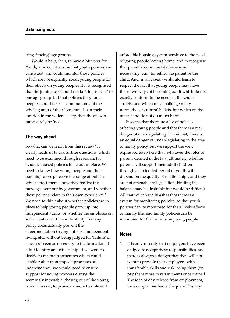'ring-fencing' age groups.

Would it help, then, to have a Minister for Youth, who could ensure that youth policies are consistent, and could monitor those policies which are not explicitly about young people for their effects on young people? If it is recognised that the joining up should not be 'ring-fenced' to one age group, but that policies for young people should take account not only of the whole gamut of their lives but also of their location in the wider society, then the answer must surely be 'no'.

## **The way ahead**

So what can we learn from this review? It clearly leads us to ask further questions, which need to be examined through research, for evidence-based policies to be put in place. We need to know how young people and their parents/carers perceive the range of policies which affect them – how they receive the messages sent out by government, and whether these policies relate to their own experience.2 We need to think about whether policies are in place to help young people grow up into independent adults, or whether the emphasis on social control and the inflexibility in many policy areas actually prevent the experimentation (trying out jobs, independent living, etc., without being judged for 'failure' or 'success') seen as necessary to the formation of adult identity and citizenship. If we were to decide to maintain structures which could enable rather than impede processes of independence, we would need to ensure support for young workers during the seemingly inevitable phasing out of the young labour market, to provide a more flexible and

affordable housing system sensitive to the needs of young people leaving home, and to recognise that parenthood in the late teens is not necessarily 'bad' for either the parent or the child. And, in all cases, we should learn to respect the fact that young people may have their own ways of becoming adult which do not exactly conform to the needs of the wider society, and which may challenge many normative or cultural beliefs, but which on the other hand do not do much harm.

It seems that there are a lot of policies affecting young people and that there is a real danger of over-legislating. In contrast, there is an equal danger of under-legislating in the area of family policy, but we support the view expressed elsewhere that, whatever the roles of parents defined in the law, ultimately, whether parents will support their adult children through an extended period of youth will depend on the quality of relationships, and they are not amenable to legislation. Finding the balance may be desirable but would be difficult. All that we can really ask is that there is a system for monitoring policies, so that youth policies can be monitored for their likely effects on family life, and family policies can be monitored for their effects on young people.

#### **Notes**

1 It is only recently that employers have been obliged to accept these responsibilities, and there is always a danger that they will not want to provide their employees with transferable skills and risk losing them (or pay them more to retain them) once trained. The idea of day-release from employment, for example, has had a chequered history.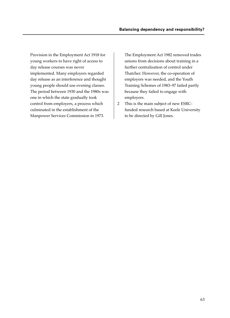Provision in the Employment Act 1918 for young workers to have right of access to day release courses was never implemented. Many employers regarded day release as an interference and thought young people should use evening classes. The period between 1930 and the 1980s was one in which the state gradually took control from employers, a process which culminated in the establishment of the Manpower Services Commission in 1973.

The Employment Act 1982 removed trades unions from decisions about training in a further centralisation of control under Thatcher. However, the co-operation of employers was needed, and the Youth Training Schemes of 1983–97 failed partly because they failed to engage with employers.

2 This is the main subject of new ESRCfunded research based at Keele University to be directed by Gill Jones.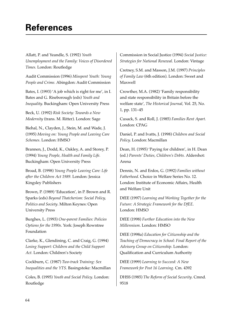## **References**

Allatt, P. and Yeandle, S. (1992) *Youth Unemployment and the Family: Voices of Disordered Times.* London: Routledge

Audit Commission (1996) *Misspent Youth: Young People and Crime.* Abingdon: Audit Commission

Bates, I. (1993) 'A job which is right for me', in I. Bates and G. Riseborough (eds) *Youth and Inequality.* Buckingham: Open University Press

Beck, U. (1992) *Risk Society: Towards a New Modernity* (trans. M. Ritter). London: Sage

Biehal, N., Clayden, J., Stein, M. and Wade, J. (1995) *Moving on: Young People and Leaving Care Schemes*. London: HMSO

Brannen, J., Dodd, K., Oakley, A. and Storey, P. (1994) *Young People, Health and Family Life.* Buckingham: Open University Press

Broad, B. (1998) *Young People Leaving Care: Life after the Children Act 1989.* London: Jessica Kingsley Publishers

Brown, P. (1989) 'Education', in P. Brown and R. Sparks (eds) *Beyond Thatcherism: Social Policy, Politics and Society*. Milton Keynes: Open University Press

Burghes, L. (1993) *One-parent Families: Policies Options for the 1990s*. York: Joseph Rowntree Foundation

Clarke, K., Glendining, C. and Craig, G. (1994) *Losing Support: Children and the Child Support Act.* London: Children's Society

Cockburn, C. (1987) *Two-track Training: Sex Inequalities and the YTS.* Basingstoke: Macmillan

Coles, B. (1995) *Youth and Social Policy*. London: Routledge

Commission in Social Justice (1994) *Social Justice: Strategies for National Renewal*. London: Vintage

Cretney, S.M. and Masson, J.M. (1997) *Principles of Family Law* (6th edition). London: Sweet and Maxwell

Crowther, M.A. (1982) 'Family responsibility and state responsibility in Britain before the welfare state', *The Historical Journal,* Vol. 25, No. 1, pp. 131–45

Cusack, S. and Roll, J. (1985) *Families Rent Apart.* London: CPAG

Daniel, P. and Ivatts, J. (1998) *Children and Social Policy*. London: Macmillan

Dean, H. (1995) 'Paying for children', in H. Dean (ed.) *Parents' Duties, Children's Debts.* Aldershot: Arena

Dennis, N. and Erdos, G. (1992) *Families without Fatherhood*. Choice in Welfare Series No. 12. London: Institute of Economic Affairs, Health and Welfare Unit

DfEE (1997) *Learning and Working Together for the Future: A Strategic Framework for the DfEE*. London: HMSO

DfEE (1998) *Further Education into the New Millennium*. London: HMSO

DfEE (1998a) *Education for Citizenship and the Teaching of Democracy in School: Final Report of the Advisory Group on Citizenship*. London: Qualification and Curriculum Authority

DfEE (1999) *Learning to Succeed: A New Framework for Post 16 Learning.* Cm. 4392

DHSS (1985) *The Reform of Social Security*. Cmnd. 9518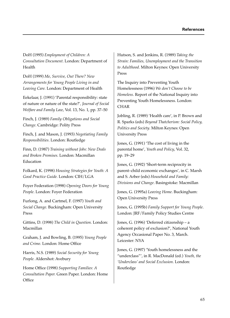DoH (1995) *Employment of Children: A Consultation Document*. London: Department of Health

DoH (1999) *Me, Survive, Out There? New Arrangements for Young People Living in and Leaving Care.* London: Department of Health

Eekelaar, J. (1991) 'Parental responsibility: state of nature or nature of the state?'*, Journal of Social Welfare and Family Law*, Vol. 13, No. 1, pp. 37–50

Finch, J. (1989) *Family Obligations and Social Change*. Cambridge: Polity Press

Finch, J. and Mason, J. (1993) *Negotiating Family Responsibilities*. London: Routledge

Finn, D. (1987) *Training without Jobs: New Deals and Broken Promises*. London: Macmillan Education

Folkard, K. (1998) *Housing Strategies for Youth: A Good Practice Guide.* London: CIH/LGA

Foyer Federation (1998) *Opening Doors for Young People*. London: Foyer Federation

Furlong, A. and Cartmel, F. (1997) *Youth and Social Change.* Buckingham: Open University Press

Gittins, D. (1998) *The Child in Question.* London: Macmillan

Graham, J. and Bowling, B. (1995) *Young People and Crime*. London: Home Office

Harris, N.S. (1989) *Social Security for Young People.* Aldershot: Avebury

Home Office (1998) *Supporting Families: A Consultation Paper.* Green Paper. London: Home **Office** 

Hutson, S. and Jenkins, R. (1989) *Taking the Strain: Families, Unemployment and the Transition to Adulthood*. Milton Keynes: Open University Press

The Inquiry into Preventing Youth Homelessness (1996) *We don't Choose to be Homeless*. Report of the National Inquiry into Preventing Youth Homelessness. London: CHAR

Jobling, R. (1989) 'Health care', in P. Brown and R. Sparks (eds) *Beyond Thatcherism: Social Policy, Politics and Society*. Milton Keynes: Open University Press

Jones, G. (1991) 'The cost of living in the parental home', *Youth and Policy*, Vol. 32, pp. 19–29

Jones, G. (1992) 'Short-term reciprocity in parent–child economic exchanges', in C. Marsh and S. Arber (eds) *Household and Family: Divisions and Change*. Basingstoke: Macmillan

Jones, G. (1995a) *Leaving Home*. Buckingham: Open University Press

Jones, G. (1995b) *Family Support for Young People*. London: JRF/Family Policy Studies Centre

Jones, G. (1996) 'Deferred citizenship – a coherent policy of exclusion?', National Youth Agency Occasional Paper No. 3, March. Leicester: NYA

Jones, G. (1997) 'Youth homelessness and the "underclass"', in R. MacDonald (ed.) *Youth, the 'Underclass' and Social Exclusion*. London: Routledge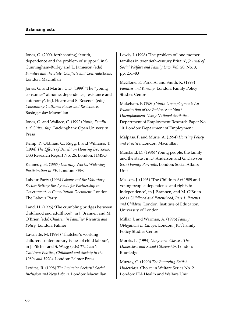## **Balancing acts**

Jones, G. (2000, forthcoming) 'Youth, dependence and the problem of support', in S. Cunningham-Burley and L. Jamieson (eds) *Families and the State: Conflicts and Contradictions*. London: Macmillan

Jones, G. and Martin, C.D. (1999) 'The "young consumer" at home: dependence, resistance and autonomy', in J. Hearn and S. Roseneil (eds) *Consuming Cultures: Power and Resistance*. Basingstoke: Macmillan

Jones, G. and Wallace, C. (1992) *Youth, Family and Citizenship*. Buckingham: Open University Press

Kemp, P., Oldman, C., Rugg, J. and Williams, T. (1994) *The Effects of Benefit on Housing Decisions*. DSS Research Report No. 26. London: HMSO

Kennedy, H. (1997) *Learning Works: Widening Participation in FE.* London: FEFC

Labour Party (1996) *Labour and the Voluntary Sector: Setting the Agenda for Partnership in Government. A Consultation Document*. London: The Labour Party

Land, H. (1996) 'The crumbling bridges between childhood and adulthood', in J. Brannen and M. O'Brien (eds) *Children in Families: Research and Policy.* London: Falmer

Lavalette, M. (1996) 'Thatcher's working children: contemporary issues of child labour', in J. Pilcher and S. Wagg (eds) *Thatcher's Children: Politics, Childhood and Society in the 1980s and 1990s*. London: Falmer Press

Levitas, R. (1998) *The Inclusive Society? Social Inclusion and New Labour.* London: Macmillan

Lewis, J. (1998) 'The problem of lone-mother families in twentieth-century Britain', *Journal of Social Welfare and Family Law*, Vol. 20, No. 3, pp. 251–83

McGlone, F., Park, A. and Smith, K. (1998) *Families and Kinship*. London: Family Policy Studies Centre

Makeham, P. (1980) *Youth Unemployment: An Examination of the Evidence on Youth Unemployment Using National Statistics*. Department of Employment Research Paper No. 10. London: Department of Employment

Malpass, P. and Murie, A. (1994) *Housing Policy and Practice*. London: Macmillan

Marsland, D. (1986) 'Young people, the family and the state', in D. Anderson and G. Dawson (eds) *Family Portraits*. London: Social Affairs Unit

Masson, J. (1995) 'The Children Act 1989 and young people: dependence and rights to independence', in J. Brannen, and M. O'Brien (eds) *Childhood and Parenthood, Part 1: Parents and Children*. London: Institute of Education, University of London

Millar, J. and Warman, A. (1996) *Family Obligations in Europe.* London: JRF/Family Policy Studies Centre

Morris, L. (1994) *Dangerous Classes: The Underclass and Social Citizenship*. London: Routledge

Murray, C. (1990) *The Emerging British Underclass*. Choice in Welfare Series No. 2. London: IEA Health and Welfare Unit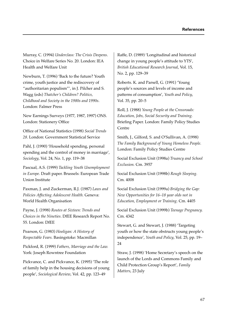Murray, C. (1994) *Underclass: The Crisis Deepens*. Choice in Welfare Series No. 20. London: IEA Health and Welfare Unit

Newburn, T. (1996) 'Back to the future? Youth crime, youth justice and the rediscovery of "authoritarian populism"', in J. Pilcher and S. Wagg (eds) *Thatcher's Children? Politics, Childhood and Society in the 1980s and 1990s*. London: Falmer Press

New Earnings Surveys (1977, 1987, 1997) ONS. London: Stationery Office

Office of National Statistics (1998) *Social Trends 28*. London: Government Statistical Service

Pahl, J. (1990) 'Household spending, personal spending and the control of money in marriage', *Sociology*, Vol. 24, No. 1, pp. 119–38

Pascual, A.S. (1999) *Tackling Youth Unemployment in Europe.* Draft paper. Brussels: European Trade Union Institute

Paxman, J. and Zuckerman, R.J. (1987) *Laws and Policies Affecting Adolescent Health.* Geneva: World Health Organisation

Payne, J. (1998) *Routes at Sixteen: Trends and Choices in the Nineties*. DfEE Research Report No. 55. London: DfEE

Pearson, G. (1983) *Hooligan: A History of Respectable Fears.* Basingstoke: Macmillan

Pickford, R. (1999) *Fathers, Marriage and the Law.* York: Joseph Rowntree Foundation

Pickvance, C. and Pickvance, K. (1995) 'The role of family help in the housing decisions of young people', *Sociological Review*, Vol. 42, pp. 123–49

Raffe, D. (1989) 'Longitudinal and historical change in young people's attitude to YTS', *British Educational Research Journal*, Vol. 15, No. 2, pp. 129–39

Roberts. K. and Parsell, G. (1991) 'Young people's sources and levels of income and patterns of consumption', *Youth and Policy*, Vol. 35, pp. 20–5

Roll, J. (1988) *Young People at the Crossroads: Education, Jobs, Social Security and Training.* Briefing Paper. London: Family Policy Studies **Centre** 

Smith, J., Gilford, S. and O'Sullivan, A. (1998) *The Family Background of Young Homeless People.* London: Family Policy Studies Centre

Social Exclusion Unit (1998a) *Truancy and School Exclusion.* Cm. 3957

Social Exclusion Unit (1998b) *Rough Sleeping.* Cm. 4008

Social Exclusion Unit (1999a) *Bridging the Gap: New Opportunities for 16–18 year olds not in Education, Employment or Training*. Cm. 4405

Social Exclusion Unit (1999b) *Teenage Pregnancy.* Cm. 4342

Stewart, G. and Stewart, J. (1988) 'Targeting youth or how the state obstructs young people's independence', *Youth and Policy*, Vol. 25, pp. 19– 24

Straw, J. (1998) 'Home Secretary's speech on the launch of the Lords and Commons Family and Child Protection Group's Report', *Family Matters*, 23 July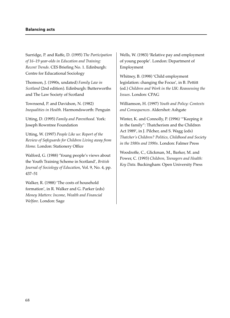## **Balancing acts**

Surridge, P. and Raffe, D. (1995) *The Participation of 16–19 year-olds in Education and Training: Recent Trends*. CES Briefing No. 1. Edinburgh: Centre for Educational Sociology

Thomson, J. (1990s, undated) *Family Law in Scotland* (2nd edition). Edinburgh: Butterworths and The Law Society of Scotland

Townsend, P. and Davidson, N. (1982) *Inequalities in Health*. Harmondsworth: Penguin

Utting, D. (1995) *Family and Parenthood.* York: Joseph Rowntree Foundation

Utting, W. (1997) *People Like us: Report of the Review of Safeguards for Children Living away from Home.* London: Stationery Office

Walford, G. (1988) 'Young people's views about the Youth Training Scheme in Scotland', *British Journal of Sociology of Education*, Vol. 9, No. 4, pp. 437–51

Walker, R. (1988) 'The costs of household formation', in R. Walker and G. Parker (eds) *Money Matters: Income, Wealth and Financial Welfare*. London: Sage

Wells, W. (1983) 'Relative pay and employment of young people'. London: Department of Employment

Whitney, B. (1998) 'Child employment legislation: changing the Focus', in B. Pettitt (ed.) *Children and Work in the UK: Reassessing the Issues*. London: CPAG

Williamson, H. (1997) *Youth and Policy: Contexts and Consequences*. Aldershot: Ashgate

Winter, K. and Connolly, P. (1996) '"Keeping it in the family": Thatcherism and the Children Act 1989', in J. Pilcher, and S. Wagg (eds) *Thatcher's Children? Politics, Childhood and Society in the 1980s and 1990s*. London: Falmer Press

Woodroffe, C., Glickman, M., Barker, M. and Power, C. (1993) *Children, Teenagers and Health: Key Data.* Buckingham: Open University Press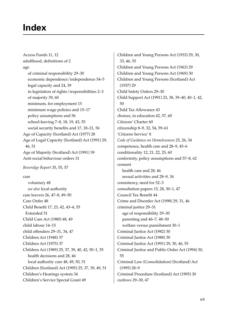## **Index**

Access Funds 11, 12 adulthood, definitions of 2 age of criminal responsibility 29–30 economic dependence/independence 54–5 legal capacity and 24, 39 in legislation of rights/responsibilities 2–3 of majority 39, 60 minimum, for employment 15 minimum wage policies and 15–17 policy assumptions and 56 school-leaving 7–8, 18, 19, 43, 55 social security benefits and 17, 18–21, 56 Age of Capacity (Scotland) Act (1977) 28 Age of Legal Capacity (Scotland) Act (1991) 29, 46, 51 Age of Majority (Scotland) Act (1991) 39 Anti-social behaviour orders 31 *Beveridge Report* 35, 55, 57 care voluntary 48 *see also* local authority care leavers 26, 47–8, 49–50 Care Order 48 Child Benefit 17, 23, 42, 43–4, 55 Extended 51 Child Care Act (1980) 48, 49 child labour 14–15 child offenders 29–31, 34, 47 Children Act (1948) 37 Children Act (1975) 37 Children Act (1989) 25, 37, 39, 40, 42, 50–1, 55

health decisions and 28, 46 local authority care 48, 49, 50, 51

Children's Hearings system 34 Children's Service Special Grant 49

Children (Scotland) Act (1995) 25, 37, 39, 49, 51

33, 46, 55 Children and Young Persons Act (1963) 29 Children and Young Persons Act (1969) 30 Children and Young Persons (Scotland) Act (1937) 29 Child Safety Orders 29–30 Child Support Act (1991) 23, 38, 39–40, 40–1, 42, 50 Child Tax Allowance 43 choices, in education 42, 57, 60 Citizens' Charter 60 citizenship 8–9, 32, 54, 59–61 'Citizens Service' 8 *Code of Guidance on Homelessness* 25, 26, 34 competence, health care and 28–9, 45–6 conditionality 12, 21, 22, 25, 60 conformity, policy assumptions and 57–8, 62 consent health care and 28, 46 sexual activities and 28–9, 34 consistency, need for 52–3 consultation papers 15, 28, 30–1, 47 Council Tax Benefit 44 Crime and Disorder Act (1998) 29, 31, 46 criminal justice 29–31 age of responsibility 29–30 parenting and 46–7, 48–50 welfare versus punishment 30–1 Criminal Justice Act (1982) 30 Criminal Justice Act (1988) 30 Criminal Justice Act (1991) 29, 30, 46, 55 Criminal Justice and Public Order Act (1994) 30, 55 Criminal Law (Consolidation) (Scotland) Act (1995) 28–9 Criminal Procedure (Scotland) Act (1995) 30 curfews 29–30, 47

Children and Young Persons Act (1933) 29, 30,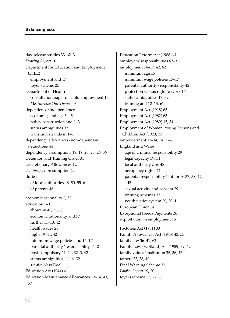## **Balancing acts**

day-release studies 33, 62–3 *Dearing Report* 10 Department for Education and Employment (DfEE) employment and 17 foyer scheme 25 Department of Health consultation paper on child employment 15 *Me, Survive Out There?* 49 dependence/independence economic, and age 54–5 policy construction and 1–3 status ambiguities 32 transition strands in 1–3 dependency allowances/non-dependant deductions 44 dependency assumptions 18, 19, 20, 23, 26, 56 Detention and Training Order 31 Discretionary Allowances 12 *doli incapax* presumption 29 duties of local authorities 48–50, 55–6 of parents 46 economic rationality 2, 57 education 7–13 choice in 42, 57, 60 economic rationality and 57 further 11–13, 42 health issues 28 higher 9–11, 42 minimum wage policies and 15–17 parental authority/responsibility 41–2 post-compulsory 11–14, 32–3, 42 status ambiguities 11, 14, 32 *see also* New Deal Education Act (1944) 41 Education Maintenance Allowances 12–14, 43, 57

Education Reform Act (1988) 41 employers' responsibilities 62–3 employment 14–17, 42, 62 minimum age 15 minimum wage policies 15–17 parental authority/responsibility 42 protection versus right to work 15 status ambiguities 17, 32 training and 12–14, 61 Employment Act (1918) 63 Employment Act (1982) 63 Employment Act (1989) 15, 34 Employment of Women, Young Persons and Children Act (1920) 33 empowerment 13–14, 54, 57–8 England and Wales age of criminal responsibility 29 legal capacity 39, 51 local authority care 48 occupancy rights 24 parental responsibility/authority 37, 38, 42, 45 sexual activity and consent 29 training schemes 33 youth justice system 29, 30–1 European Union 61 Exceptional Needs Payments 26 exploitation, in employment 15 Factories Act (1961) 33 Family Allowances Act (1945) 43, 55 family law 36–41, 62 Family Law (Scotland) Act (1985) 39, 42 family values/institution 35, 36, 47 fathers 23, 38, 40 Final Warning Scheme 31 *Fowler Report* 19, 20 foyers scheme 25, 27, 60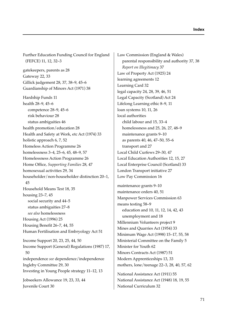Further Education Funding Council for England (FEFCE) 11, 12, 32–3 gatekeepers, parents as 28 Gateway 22, 33 Gillick judgement 28, 37, 38–9, 45–6 Guardianship of Minors Act (1971) 38 Hardship Funds 11 health 28–9, 45–6 competence 28–9, 45–6 risk behaviour 28 status ambiguities 46 health promotion/education 28 Health and Safety at Work, etc Act (1974) 33 holistic approach 6, 7, 52 Homeless Action Programme 26 homelessness 3–4, 25–6, 45, 48–9, 57 Homelessness Action Programme 26 Home Office, *Supporting Families* 28, 47 homosexual activities 29, 34 householder/non-householder distinction 20–1, 45 Household Means Test 18, 35 housing 23–7, 45 social security and 44–5 status ambiguities 27–8 *see also* homelessness Housing Act (1996) 25 Housing Benefit 26–7, 44, 55 Human Fertilisation and Embryology Act 51 Income Support 20, 23, 25, 44, 50 Income Support (General) Regulations (1987) 17, 50 independence *see* dependence/independence Ingleby Committee 29, 30 Investing in Young People strategy 11–12, 13 Jobseekers Allowance 19, 23, 33, 44 Juvenile Court 30

Law Commission (England & Wales) parental responsibility and authority 37, 38 *Report on Illegitimacy* 37 Law of Property Act (1925) 24 learning agreements 12 Learning Card 32 legal capacity 24, 28, 39, 46, 51 Legal Capacity (Scotland) Act 24 Lifelong Learning ethic 8–9, 11 loan systems 10, 11, 26 local authorities child labour and 15, 33–4 homelessness and 25, 26, 27, 48–9 maintenance grants 9–10 as parents 40, 46, 47–50, 55–6 transport and 27 Local Child Curfews 29–30, 47 Local Education Authorities 12, 15, 27 Local Enterprise Council (Scotland) 33 London Transport initiative 27 Low Pay Commission 16 maintenance grants 9–10 maintenance orders 40, 51 Manpower Services Commission 63 means testing 58–9 education and 10, 11, 12, 14, 42, 43 unemployment and 18 Millennium Volunteers project 9 Mines and Quarries Act (1954) 33 Minimum Wage Act (1998) 15–17, 55, 58 Ministerial Committee on the Family 5 Minister for Youth 62 Minors Contracts Act (1987) 51 Modern Apprenticeships 13, 33 mothers, lone/teenage 22–3, 28, 40, 57, 62 National Assistance Act (1911) 55 National Assistance Act (1948) 18, 19, 55 National Curriculum 32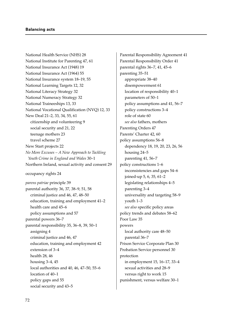National Health Service (NHS) 28 National Institute for Parenting 47, 61 National Insurance Act (1948) 19 National Insurance Act (1964) 55 National Insurance system 18–19, 55 National Learning Targets 12, 32 National Literacy Strategy 32 National Numeracy Strategy 32 National Traineeships 13, 33 National Vocational Qualification (NVQ) 12, 33 New Deal 21–2, 33, 34, 55, 61 citizenship and volunteering 9 social security and 21, 22 teenage mothers 23 travel scheme 27 New Start projects 22 *No More Excuses – A New Approach to Tackling Youth Crime in England and Wales* 30–1 Northern Ireland, sexual activity and consent 29 occupancy rights 24 *parens patriae* principle 39 parental authority 36, 37, 38–9, 51, 58 criminal justice and 46, 47, 48–50 education, training and employment 41–2 health care and 45–6 policy assumptions and 57 parental powers 36–7 parental responsibility 35, 36–8, 39, 50–1 assigning 4 criminal justice and 46, 47 education, training and employment 42 extension of 3–4 health 28, 46 housing 3–4, 45 local authorities and 40, 46, 47–50, 55–6 location of 40–1 policy gaps and 55 social security and 43–5

Parental Responsibility Agreement 41 Parental Responsibility Order 41 parental rights 36–7, 41, 45–6 parenting 35–51 appropriate 38–40 disempowerment 61 location of responsibility 40–1 parameters of 50–1 policy assumptions and 41, 56–7 policy constructions 3–4 role of state 60 *see also* fathers, mothers Parenting Orders 47 Parents' Charter 42, 60 policy assumptions 56–8 dependency 18, 19, 20, 23, 26, 56 housing 24–5 parenting 41, 56–7 policy constructions 1–6 inconsistencies and gaps 54–6 joined-up 5, 6, 35, 61–2 legislating relationships 4–5 parenting 3–4 universality and targeting 58–9 youth 1–3 *see also* specific policy areas policy trends and debates 58–62 Poor Law 35 powers local authority care 48–50 parental 36–7 Prison Service Corporate Plan 30 Probation Service personnel 30 protection in employment 15, 16–17, 33–4 sexual activities and 28–9 versus right to work 15 punishment, versus welfare 30–1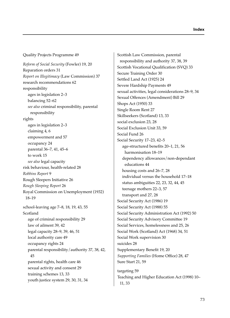Quality Projects Programme 49 *Reform of Social Security* (Fowler) 19, 20 Reparation orders 31 *Report on Illegitimacy* (Law Commission) 37 research recommendations 62 responsibility ages in legislation 2–3 balancing 52–62 *see also* criminal responsibility, parental responsibility rights ages in legislation 2–3 claiming 4, 6 empowerment and 57 occupancy 24 parental 36–7, 41, 45–6 to work 15 *see also* legal capacity risk behaviour, health-related 28 *Robbins Report* 9 Rough Sleepers Initiative 26 *Rough Sleeping Report* 26 Royal Commission on Unemployment (1932) 18–19 school-leaving age 7–8, 18, 19, 43, 55 Scotland age of criminal responsibility 29 law of ailment 39, 42 legal capacity 28–9, 39, 46, 51 local authority care 49 occupancy rights 24 parental responsibility/authority 37, 38, 42, 45 parental rights, health care 46 sexual activity and consent 29 training schemes 13, 33 youth justice system 29, 30, 31, 34

Scottish Law Commission, parental responsibility and authority 37, 38, 39 Scottish Vocational Qualification (SVQ) 33 Secure Training Order 30 Settled Land Act (1925) 24 Severe Hardship Payments 49 sexual activities, legal considerations 28–9, 34 Sexual Offences (Amendment) Bill 29 Shops Act (1950) 33 Single Room Rent 27 Skillseekers (Scotland) 13, 33 social exclusion 23, 28 Social Exclusion Unit 33, 59 Social Fund 26 Social Security 17–23, 42–5 age-structured benefits 20–1, 21, 56 harmonisation 18–19 dependency allowances/non-dependant educations 44 housing costs and 26–7, 28 individual versus the household 17–18 status ambiguities 22, 23, 32, 44, 45 teenage mothers 22–3, 57 transport and 27, 28 Social Security Act (1986) 19 Social Security Act (1988) 55 Social Security Administration Act (1992) 50 Social Security Advisory Committee 19 Social Services, homelessness and 25, 26 Social Work (Scotland) Act (1968) 34, 51 Social Work supervision 30 suicides 28 Supplementary Benefit 19, 20 *Supporting Families* (Home Office) 28, 47 Sure Start 21, 59 targeting 59 Teaching and Higher Education Act (1998) 10– 11, 33